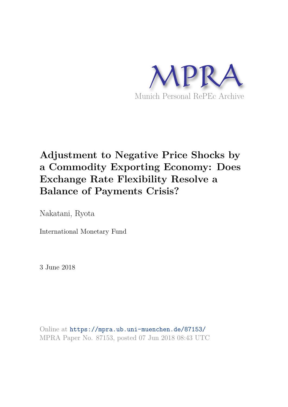

# **Adjustment to Negative Price Shocks by a Commodity Exporting Economy: Does Exchange Rate Flexibility Resolve a Balance of Payments Crisis?**

Nakatani, Ryota

International Monetary Fund

3 June 2018

Online at https://mpra.ub.uni-muenchen.de/87153/ MPRA Paper No. 87153, posted 07 Jun 2018 08:43 UTC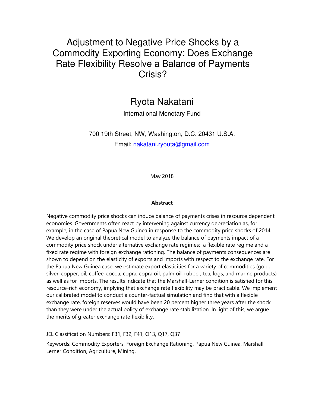# Adjustment to Negative Price Shocks by a Commodity Exporting Economy: Does Exchange Rate Flexibility Resolve a Balance of Payments Crisis?

# Ryota Nakatani

International Monetary Fund

700 19th Street, NW, Washington, D.C. 20431 U.S.A. Email: [nakatani.ryouta@gmail.com](mailto:nakatani.ryouta@gmail.com)

May 2018

# **Abstract**

Negative commodity price shocks can induce balance of payments crises in resource dependent economies. Governments often react by intervening against currency depreciation as, for example, in the case of Papua New Guinea in response to the commodity price shocks of 2014. We develop an original theoretical model to analyze the balance of payments impact of a commodity price shock under alternative exchange rate regimes: a flexible rate regime and a fixed rate regime with foreign exchange rationing. The balance of payments consequences are shown to depend on the elasticity of exports and imports with respect to the exchange rate. For the Papua New Guinea case, we estimate export elasticities for a variety of commodities (gold, silver, copper, oil, coffee, cocoa, copra, copra oil, palm oil, rubber, tea, logs, and marine products) as well as for imports. The results indicate that the Marshall-Lerner condition is satisfied for this resource-rich economy, implying that exchange rate flexibility may be practicable. We implement our calibrated model to conduct a counter-factual simulation and find that with a flexible exchange rate, foreign reserves would have been 20 percent higher three years after the shock than they were under the actual policy of exchange rate stabilization. In light of this, we argue the merits of greater exchange rate flexibility.

JEL Classification Numbers: F31, F32, F41, O13, Q17, Q37

Keywords: Commodity Exporters, Foreign Exchange Rationing, Papua New Guinea, Marshall-Lerner Condition, Agriculture, Mining.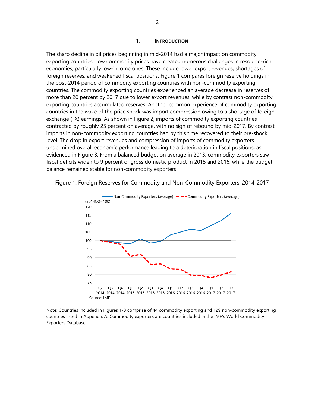#### **1. INTRODUCTION**

The sharp decline in oil prices beginning in mid-2014 had a major impact on commodity exporting countries. Low commodity prices have created numerous challenges in resource-rich economies, particularly low-income ones. These include lower export revenues, shortages of foreign reserves, and weakened fiscal positions. Figure 1 compares foreign reserve holdings in the post-2014 period of commodity exporting countries with non-commodity exporting countries. The commodity exporting countries experienced an average decrease in reserves of more than 20 percent by 2017 due to lower export revenues, while by contrast non-commodity exporting countries accumulated reserves. Another common experience of commodity exporting countries in the wake of the price shock was import compression owing to a shortage of foreign exchange (FX) earnings. As shown in Figure 2, imports of commodity exporting countries contracted by roughly 25 percent on average, with no sign of rebound by mid-2017. By contrast, imports in non-commodity exporting countries had by this time recovered to their pre-shock level. The drop in export revenues and compression of imports of commodity exporters undermined overall economic performance leading to a deterioration in fiscal positions, as evidenced in Figure 3. From a balanced budget on average in 2013, commodity exporters saw fiscal deficits widen to 9 percent of gross domestic product in 2015 and 2016, while the budget balance remained stable for non-commodity exporters.



Figure 1. Foreign Reserves for Commodity and Non-Commodity Exporters, 2014-2017

Note: Countries included in Figures 1-3 comprise of 44 commodity exporting and 129 non-commodity exporting countries listed in Appendix A. Commodity exporters are countries included in the IMF's World Commodity Exporters Database.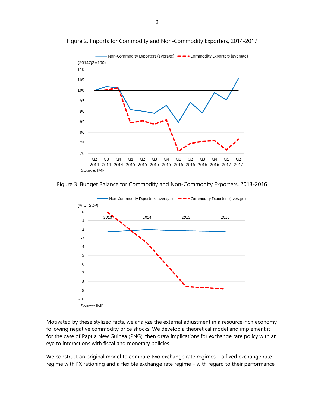

Figure 2. Imports for Commodity and Non-Commodity Exporters, 2014-2017

Figure 3. Budget Balance for Commodity and Non-Commodity Exporters, 2013-2016



Motivated by these stylized facts, we analyze the external adjustment in a resource-rich economy following negative commodity price shocks. We develop a theoretical model and implement it for the case of Papua New Guinea (PNG), then draw implications for exchange rate policy with an eye to interactions with fiscal and monetary policies.

We construct an original model to compare two exchange rate regimes – a fixed exchange rate regime with FX rationing and a flexible exchange rate regime – with regard to their performance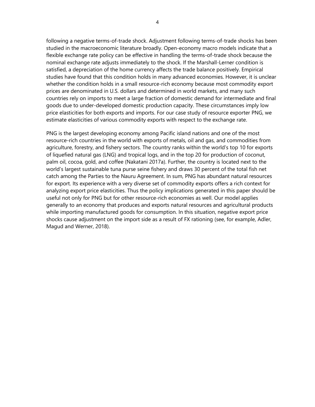following a negative terms-of-trade shock. Adjustment following terms-of-trade shocks has been studied in the macroeconomic literature broadly. Open-economy macro models indicate that a flexible exchange rate policy can be effective in handling the terms-of-trade shock because the nominal exchange rate adjusts immediately to the shock. If the Marshall-Lerner condition is satisfied, a depreciation of the home currency affects the trade balance positively. Empirical studies have found that this condition holds in many advanced economies. However, it is unclear whether the condition holds in a small resource-rich economy because most commodity export prices are denominated in U.S. dollars and determined in world markets, and many such countries rely on imports to meet a large fraction of domestic demand for intermediate and final goods due to under-developed domestic production capacity. These circumstances imply low price elasticities for both exports and imports. For our case study of resource exporter PNG, we estimate elasticities of various commodity exports with respect to the exchange rate.

PNG is the largest developing economy among Pacific island nations and one of the most resource-rich countries in the world with exports of metals, oil and gas, and commodities from agriculture, forestry, and fishery sectors. The country ranks within the world's top 10 for exports of liquefied natural gas (LNG) and tropical logs, and in the top 20 for production of coconut, palm oil, cocoa, gold, and coffee (Nakatani 2017a). Further, the country is located next to the world's largest sustainable tuna purse seine fishery and draws 30 percent of the total fish net catch among the Parties to the Nauru Agreement. In sum, PNG has abundant natural resources for export. Its experience with a very diverse set of commodity exports offers a rich context for analyzing export price elasticities. Thus the policy implications generated in this paper should be useful not only for PNG but for other resource-rich economies as well. Our model applies generally to an economy that produces and exports natural resources and agricultural products while importing manufactured goods for consumption. In this situation, negative export price shocks cause adjustment on the import side as a result of FX rationing (see, for example, Adler, Magud and Werner, 2018).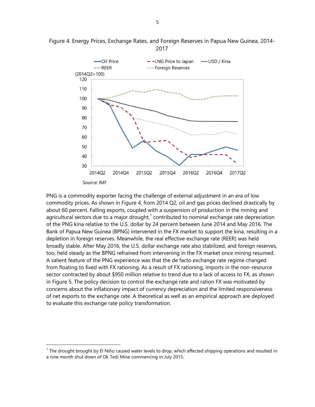

Figure 4. Energy Prices, Exchange Rates, and Foreign Reserves in Papua New Guinea, 2014- 2017

PNG is a commodity exporter facing the challenge of external adjustment in an era of low commodity prices. As shown in Figure 4, from 2014 Q2, oil and gas prices declined drastically by about 60 percent. Falling exports, coupled with a suspension of production in the mining and agricultural sectors due to a major drought, $^1$  contributed to nominal exchange rate depreciation of the PNG kina relative to the U.S. dollar by 24 percent between June 2014 and May 2016. The Bank of Papua New Guinea (BPNG) intervened in the FX market to support the kina, resulting in a depletion in foreign reserves. Meanwhile, the real effective exchange rate (REER) was held broadly stable. After May 2016, the U.S. dollar exchange rate also stabilized, and foreign reserves, too, held steady as the BPNG refrained from intervening in the FX market once mining resumed. A salient feature of the PNG experience was that the de facto exchange rate regime changed from floating to fixed with FX rationing. As a result of FX rationing, imports in the non-resource sector contracted by about \$950 million relative to trend due to a lack of access to FX, as shown in Figure 5. The policy decision to control the exchange rate and ration FX was motivated by concerns about the inflationary impact of currency depreciation and the limited responsiveness of net exports to the exchange rate. A theoretical as well as an empirical approach are deployed to evaluate this exchange rate policy transformation.

 $\overline{a}$ 

 $1$  The drought brought by El Niño caused water levels to drop, which affected shipping operations and resulted in a nine month shut down of Ok Tedi Mine commencing in July 2015.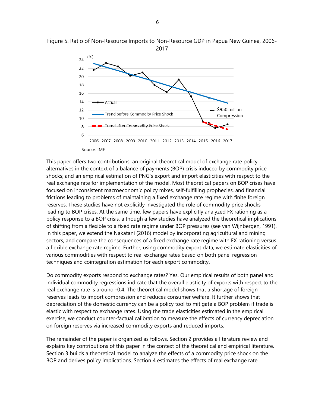

This paper offers two contributions: an original theoretical model of exchange rate policy alternatives in the context of a balance of payments (BOP) crisis induced by commodity price shocks; and an empirical estimation of PNG's export and import elasticities with respect to the real exchange rate for implementation of the model. Most theoretical papers on BOP crises have focused on inconsistent macroeconomic policy mixes, self-fulfilling prophecies, and financial frictions leading to problems of maintaining a fixed exchange rate regime with finite foreign reserves. These studies have not explicitly investigated the role of commodity price shocks leading to BOP crises. At the same time, few papers have explicitly analyzed FX rationing as a policy response to a BOP crisis, although a few studies have analyzed the theoretical implications of shifting from a flexible to a fixed rate regime under BOP pressures (see van Wijnbergen, 1991). In this paper, we extend the Nakatani (2016) model by incorporating agricultural and mining sectors, and compare the consequences of a fixed exchange rate regime with FX rationing versus a flexible exchange rate regime. Further, using commodity export data, we estimate elasticities of various commodities with respect to real exchange rates based on both panel regression techniques and cointegration estimation for each export commodity.

Do commodity exports respond to exchange rates? Yes. Our empirical results of both panel and individual commodity regressions indicate that the overall elasticity of exports with respect to the real exchange rate is around -0.4. The theoretical model shows that a shortage of foreign reserves leads to import compression and reduces consumer welfare. It further shows that depreciation of the domestic currency can be a policy tool to mitigate a BOP problem if trade is elastic with respect to exchange rates. Using the trade elasticities estimated in the empirical exercise, we conduct counter-factual calibration to measure the effects of currency depreciation on foreign reserves via increased commodity exports and reduced imports.

The remainder of the paper is organized as follows. Section 2 provides a literature review and explains key contributions of this paper in the context of the theoretical and empirical literature. Section 3 builds a theoretical model to analyze the effects of a commodity price shock on the BOP and derives policy implications. Section 4 estimates the effects of real exchange rate

6

Figure 5. Ratio of Non-Resource Imports to Non-Resource GDP in Papua New Guinea, 2006-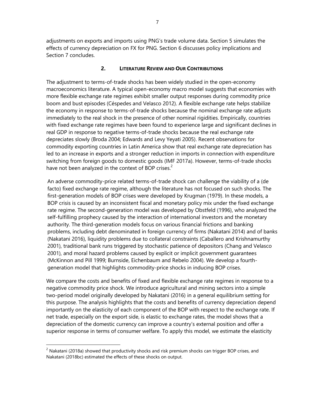adjustments on exports and imports using PNG's trade volume data. Section 5 simulates the effects of currency depreciation on FX for PNG. Section 6 discusses policy implications and Section 7 concludes.

### **2. LITERATURE REVIEW AND OUR CONTRIBUTIONS**

The adjustment to terms-of-trade shocks has been widely studied in the open-economy macroeconomics literature. A typical open-economy macro model suggests that economies with more flexible exchange rate regimes exhibit smaller output responses during commodity price boom and bust episodes (Céspedes and Velasco 2012). A flexible exchange rate helps stabilize the economy in response to terms-of-trade shocks because the nominal exchange rate adjusts immediately to the real shock in the presence of other nominal rigidities. Empirically, countries with fixed exchange rate regimes have been found to experience large and significant declines in real GDP in response to negative terms-of-trade shocks because the real exchange rate depreciates slowly (Broda 2004; Edwards and Levy Yeyati 2005). Recent observations for commodity exporting countries in Latin America show that real exchange rate depreciation has led to an increase in exports and a stronger reduction in imports in connection with expenditure switching from foreign goods to domestic goods (IMF 2017a). However, terms-of-trade shocks have not been analyzed in the context of BOP crises. $2^2$ 

An adverse commodity-price related terms-of-trade shock can challenge the viability of a (de facto) fixed exchange rate regime, although the literature has not focused on such shocks. The first-generation models of BOP crises were developed by Krugman (1979). In these models, a BOP crisis is caused by an inconsistent fiscal and monetary policy mix under the fixed exchange rate regime. The second-generation model was developed by Obstfeld (1996), who analyzed the self-fulfilling prophecy caused by the interaction of international investors and the monetary authority. The third-generation models focus on various financial frictions and banking problems, including debt denominated in foreign currency of firms (Nakatani 2014) and of banks (Nakatani 2016), liquidity problems due to collateral constraints (Caballero and Krishnamurthy 2001), traditional bank runs triggered by stochastic patience of depositors (Chang and Velasco 2001), and moral hazard problems caused by explicit or implicit government guarantees (McKinnon and Pill 1999; Burnside, Eichenbaum and Rebelo 2004). We develop a fourthgeneration model that highlights commodity-price shocks in inducing BOP crises.

We compare the costs and benefits of fixed and flexible exchange rate regimes in response to a negative commodity price shock. We introduce agricultural and mining sectors into a simple two-period model originally developed by Nakatani (2016) in a general equilibrium setting for this purpose. The analysis highlights that the costs and benefits of currency depreciation depend importantly on the elasticity of each component of the BOP with respect to the exchange rate. If net trade, especially on the export side, is elastic to exchange rates, the model shows that a depreciation of the domestic currency can improve a country's external position and offer a superior response in terms of consumer welfare. To apply this model, we estimate the elasticity

 $\overline{a}$ 

 $^2$  Nakatani (2018a) showed that productivity shocks and risk premium shocks can trigger BOP crises, and Nakatani (2018bc) estimated the effects of these shocks on output.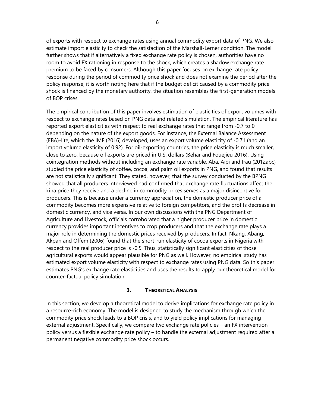8

of exports with respect to exchange rates using annual commodity export data of PNG. We also estimate import elasticity to check the satisfaction of the Marshall-Lerner condition. The model further shows that if alternatively a fixed exchange rate policy is chosen, authorities have no room to avoid FX rationing in response to the shock, which creates a shadow exchange rate premium to be faced by consumers. Although this paper focuses on exchange rate policy response during the period of commodity price shock and does not examine the period after the policy response, it is worth noting here that if the budget deficit caused by a commodity price shock is financed by the monetary authority, the situation resembles the first-generation models of BOP crises.

The empirical contribution of this paper involves estimation of elasticities of export volumes with respect to exchange rates based on PNG data and related simulation. The empirical literature has reported export elasticities with respect to real exchange rates that range from -0.7 to 0 depending on the nature of the export goods. For instance, the External Balance Assessment (EBA)-lite, which the IMF (2016) developed, uses an export volume elasticity of -0.71 (and an import volume elasticity of 0.92). For oil-exporting countries, the price elasticity is much smaller, close to zero, because oil exports are priced in U.S. dollars (Behar and Fouejieu 2016). Using cointegration methods without including an exchange rate variable, Aba, Aipi and Irau (2012abc) studied the price elasticity of coffee, cocoa, and palm oil exports in PNG, and found that results are not statistically significant. They stated, however, that the survey conducted by the BPNG showed that all producers interviewed had confirmed that exchange rate fluctuations affect the kina price they receive and a decline in commodity prices serves as a major disincentive for producers. This is because under a currency appreciation, the domestic producer price of a commodity becomes more expensive relative to foreign competitors, and the profits decrease in domestic currency, and vice versa. In our own discussions with the PNG Department of Agriculture and Livestock, officials corroborated that a higher producer price in domestic currency provides important incentives to crop producers and that the exchange rate plays a major role in determining the domestic prices received by producers. In fact, Nkang, Abang, Akpan and Offem (2006) found that the short-run elasticity of cocoa exports in Nigeria with respect to the real producer price is -0.5. Thus, statistically significant elasticities of those agricultural exports would appear plausible for PNG as well. However, no empirical study has estimated export volume elasticity with respect to exchange rates using PNG data. So this paper estimates PNG's exchange rate elasticities and uses the results to apply our theoretical model for counter-factual policy simulation.

# **3. THEORETICAL ANALYSIS**

In this section, we develop a theoretical model to derive implications for exchange rate policy in a resource-rich economy. The model is designed to study the mechanism through which the commodity price shock leads to a BOP crisis, and to yield policy implications for managing external adjustment. Specifically, we compare two exchange rate policies – an FX intervention policy versus a flexible exchange rate policy – to handle the external adjustment required after a permanent negative commodity price shock occurs.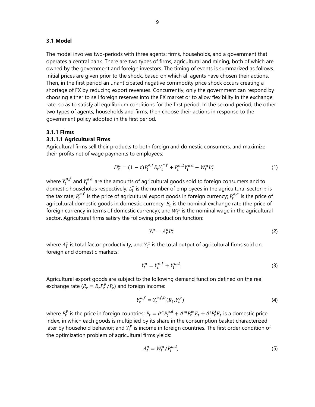#### **3.1 Model**

The model involves two-periods with three agents: firms, households, and a government that operates a central bank. There are two types of firms, agricultural and mining, both of which are owned by the government and foreign investors. The timing of events is summarized as follows. Initial prices are given prior to the shock, based on which all agents have chosen their actions. Then, in the first period an unanticipated negative commodity price shock occurs creating a shortage of FX by reducing export revenues. Concurrently, only the government can respond by choosing either to sell foreign reserves into the FX market or to allow flexibility in the exchange rate, so as to satisfy all equilibrium conditions for the first period. In the second period, the other two types of agents, households and firms, then choose their actions in response to the government policy adopted in the first period.

#### **3.1.1 Firms**

#### **3.1.1.1 Agricultural Firms**

Agricultural firms sell their products to both foreign and domestic consumers, and maximize their profits net of wage payments to employees:

$$
\Pi_t^a = (1 - \tau) P_t^{a,f} E_t Y_t^{a,f} + P_t^{a,d} Y_t^{a,d} - W_t^a L_t^a \tag{1}
$$

where  $Y_t^{a,f}$  and  $Y_t^{a,d}$  are the amounts of agricultural goods sold to foreign consumers and to domestic households respectively;  $L_t^a$  is the number of employees in the agricultural sector;  $\tau$  is the tax rate;  $P_t^{a,f}$  is the price of agricultural export goods in foreign currency;  $P_t^{a,d}$  is the price of agricultural domestic goods in domestic currency;  $E_t$  is the nominal exchange rate (the price of foreign currency in terms of domestic currency); and  $W_t^a$  is the nominal wage in the agricultural sector. Agricultural firms satisfy the following production function:

$$
Y_t^a = A_t^a L_t^a \tag{2}
$$

where  $A^a_t$  is total factor productivity; and  $Y^a_t$  is the total output of agricultural firms sold on foreign and domestic markets:

$$
Y_t^a = Y_t^{a,f} + Y_t^{a,d}.\tag{3}
$$

Agricultural export goods are subject to the following demand function defined on the real exchange rate ( $R_t = E_t P_t^F / P_t$ ) and foreign income:

$$
Y_t^{a,f} = Y_t^{a,f,D}(R_t, Y_t^F)
$$
\n<sup>(4)</sup>

where  $P_t^{\rm F}$  is the price in foreign countries;  $P_t=\vartheta^a P_t^{a,d}+\vartheta^m P_t^m E_t+\vartheta^i P_t^i E_t$  is a domestic price index, in which each goods is multiplied by its share in the consumption basket characterized later by household behavior; and  $Y_t^F$  is income in foreign countries. The first order condition of the optimization problem of agricultural firms yields:

$$
A_t^a = W_t^a / P_t^{a,d},\tag{5}
$$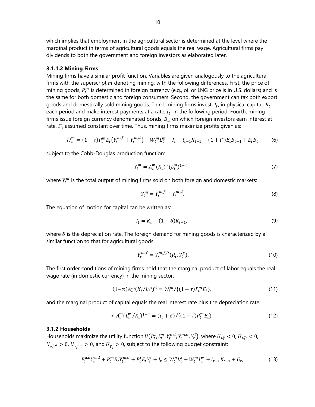which implies that employment in the agricultural sector is determined at the level where the marginal product in terms of agricultural goods equals the real wage. Agricultural firms pay dividends to both the government and foreign investors as elaborated later.

#### **3.1.1.2 Mining Firms**

Mining firms have a similar profit function. Variables are given analogously to the agricultural firms with the superscript  $m$  denoting mining, with the following differences. First, the price of mining goods,  $P_t^m$  is determined in foreign currency (e.g., oil or LNG price is in U.S. dollars) and is the same for both domestic and foreign consumers. Second, the government can tax both export goods and domestically sold mining goods. Third, mining firms invest,  $I_t$ , in physical capital,  $K_t$ , each period and make interest payments at a rate,  $i_t$ , in the following period. Fourth, mining firms issue foreign currency denominated bonds,  $B_t$ , on which foreign investors earn interest at rate,  $i^*$ , assumed constant over time. Thus, mining firms maximize profits given as:

$$
\Pi_t^m = (1 - \tau) P_t^m E_t \left( Y_t^{m,f} + Y_t^{m,d} \right) - W_t^m L_t^m - I_t - i_{t-1} K_{t-1} - (1 + i^*) E_t B_{t-1} + E_t B_t, \tag{6}
$$

subject to the Cobb-Douglas production function:

$$
Y_t^m = A_t^m (K_t)^\propto (L_t^m)^{1-\alpha},\tag{7}
$$

where  $Y_t^m$  is the total output of mining firms sold on both foreign and domestic markets:

$$
Y_t^m = Y_t^{m,f} + Y_t^{m,d}.\tag{8}
$$

The equation of motion for capital can be written as:

$$
I_t = K_t - (1 - \delta)K_{t-1},
$$
\n(9)

where  $\delta$  is the depreciation rate. The foreign demand for mining goods is characterized by a similar function to that for agricultural goods:

$$
Y_t^{m,f} = Y_t^{m,f,D}(R_t, Y_t^F). \tag{10}
$$

The first order conditions of mining firms hold that the marginal product of labor equals the real wage rate (in domestic currency) in the mining sector:

$$
(1 - \alpha)A_t^m (K_t / L_t^m)^{\alpha} = W_t^m / \{(1 - \tau)P_t^m E_t\},\tag{11}
$$

and the marginal product of capital equals the real interest rate plus the depreciation rate:

$$
\propto A_t^m (L_t^m / K_t)^{1-\alpha} = (i_t + \delta) / \{ (1-\tau) P_t^m E_t \}.
$$
\n(12)

#### **3.1.2 Households**

Households maximize the utility function  $U(L_t^a, L_t^m, Y_t^{a,d}, Y_t^m, Y_t^i)$ , where  $U_{L_t^a} < 0$ ,  $U_{L_t^m} < 0$ ,  $U_{Y_t^{a,d}} > 0$ ,  $U_{Y_t^{m,d}} > 0$ , and  $U_{Y_t^i} > 0$ , subject to the following budget constraint:

$$
P_t^{a,d} Y_t^{a,d} + P_t^m E_t Y_t^{m,d} + P_t^i E_t Y_t^i + I_t \le W_t^a L_t^a + W_t^m L_t^m + i_{t-1} K_{t-1} + G_t,\tag{13}
$$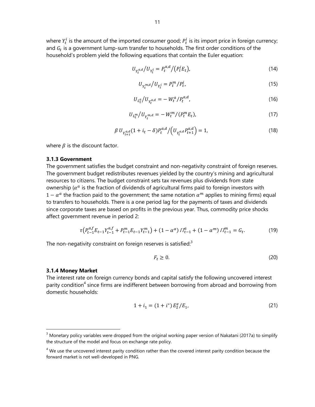where  $Y_t^{\iota}$  is the amount of the imported consumer good;  $P_t^{\iota}$  is its import price in foreign currency; and  $\mathit{G}_{t}$  is a government lump-sum transfer to households. The first order conditions of the household's problem yield the following equations that contain the Euler equation:

$$
U_{Y_t^{a,d}}/U_{Y_t^i} = P_t^{a,d} / (P_t^i E_t),
$$
\n(14)

$$
U_{Y_t^{m,d}} / U_{Y_t^i} = P_t^m / P_t^i,\tag{15}
$$

$$
U_{L_t^a} / U_{Y_t^{a,d}} = -W_t^a / P_t^{a,d}, \tag{16}
$$

$$
U_{L_t^m}/U_{Y_t^{m,d}} = -W_t^m/(P_t^m E_t),
$$
\n(17)

$$
\beta U_{Y_{t+1}^{a,d}}(1+i_t-\delta)P_t^{a,d}/\left(U_{Y_t^{a,d}}P_{t+1}^{a,d}\right)=1,
$$
\n(18)

where  $\beta$  is the discount factor.

#### **3.1.3 Government**

The government satisfies the budget constraint and non-negativity constraint of foreign reserves. The government budget redistributes revenues yielded by the country's mining and agricultural resources to citizens. The budget constraint sets tax revenues plus dividends from state ownership ( $\alpha^a$  is the fraction of dividends of agricultural firms paid to foreign investors with  $1-\alpha^a$  the fraction paid to the government; the same notation  $\alpha^m$  applies to mining firms) equal to transfers to households. There is a one period lag for the payments of taxes and dividends since corporate taxes are based on profits in the previous year. Thus, commodity price shocks affect government revenue in period 2:

$$
\tau \left( P_{t-1}^{a,f} E_{t-1} Y_{t-1}^{a,f} + P_{t-1}^m E_{t-1} Y_{t-1}^m \right) + (1 - \alpha^a) \prod_{t=1}^a + (1 - \alpha^m) \prod_{t=1}^m = G_t.
$$
 (19)

The non-negativity constraint on foreign reserves is satisfied:<sup>3</sup>

$$
F_t \ge 0. \tag{20}
$$

#### **3.1.4 Money Market**

 $\overline{a}$ 

The interest rate on foreign currency bonds and capital satisfy the following uncovered interest parity condition<sup>4</sup> since firms are indifferent between borrowing from abroad and borrowing from domestic households:

$$
1 + i_1 = (1 + i^*) E_2^e / E_1,
$$
 (21)

 $^3$  Monetary policy variables were dropped from the original working paper version of Nakatani (2017a) to simplify the structure of the model and focus on exchange rate policy.

 $<sup>4</sup>$  We use the uncovered interest parity condition rather than the covered interest parity condition because the</sup> forward market is not well-developed in PNG.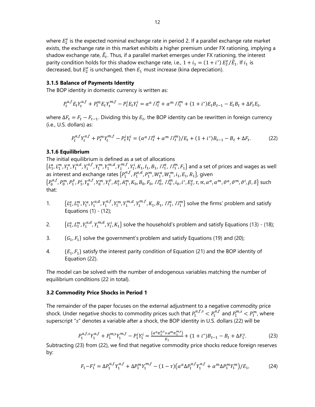where  $E_2^e$  is the expected nominal exchange rate in period 2. If a parallel exchange rate market exists, the exchange rate in this market exhibits a higher premium under FX rationing, implying a shadow exchange rate,  $\ddot{E}_{t}.$  Thus, if a parallel market emerges under FX rationing, the interest parity condition holds for this shadow exchange rate, i.e.,  $1 + i_1 = (1 + i^*) E_2^e / \tilde{E}_1$ . If  $i_1$  is decreased, but  $E_2^e$  is unchanged, then  $E_1$  must increase (kina depreciation).

#### **3.1.5 Balance of Payments Identity**

The BOP identity in domestic currency is written as:

$$
P_t^{a,f} E_t Y_t^{a,f} + P_t^m E_t Y_t^{m,f} - P_t^i E_t Y_t^i = \alpha^a I T_t^a + \alpha^m I T_t^m + (1 + i^*) E_t B_{t-1} - E_t B_t + \Delta F_t E_t,
$$

where  $\Delta F_t = F_t - F_{t-1}$ . Dividing this by  $E_t$ , the BOP identity can be rewritten in foreign currency (i.e., U.S. dollars) as:

$$
P_t^{a,f}Y_t^{a,f} + P_t^m Y_t^{m,f} - P_t^i Y_t^i = (\alpha^a \Pi_t^a + \alpha^m \Pi_t^m) / E_t + (1 + i^*) B_{t-1} - B_t + \Delta F_t.
$$
 (22)

# **3.1.6 Equilibrium**

The initial equilibrium is defined as a set of allocations

 $\{L_1^a,L_1^m,Y_1^a,Y_1^{a,d},Y_1^{m},Y_1^{m,d},Y_1^{m,f},Y_1^i,K_1,I_1,B_1,\varPi_1^a,\varPi_1^m,F_1\}$  and a set of prices and wages as well as interest and exchange rates  $\{P_1^{a,f}, P_1^{a,d}, P_1^m, W_1^a, W_1^m, i_1, E_1, R_1\}$ , given  $\{P_0^{a,f}, P_0^m, P_1^F, P_1^i, Y_0^{a,f}, Y_0^m, Y_1^F, A_1^a, A_1^m, K_0, B_0, F_0, \Pi_0^a, \Pi_0^m, i_0, i^*, E_2^e, \tau, \alpha, \alpha^a, \alpha^m, \vartheta^a, \vartheta^m, \vartheta^i, \beta, \delta\}$  such that:

- 1.  $\{L_1^a, L_1^m, Y_1^a, Y_1^{a,d}, Y_1^{a,f}, Y_1^{m,f}, Y_1^{m,f}, Y_1^{m,f}, K_1, B_1, \Pi_1^a, \Pi_1^m\}$  solve the firms' problem and satisfy Equations  $(1) - (12)$ ;
- 2.  $\{L_1^a, L_1^m, Y_1^{a,a}, Y_1^{m,a}, Y_1^i, K_1\}$  solve the household's problem and satisfy Equations (13) (18);
- 3.  $\{G_1, F_1\}$  solve the government's problem and satisfy Equations (19) and (20);
- 4.  $\{E_1, F_1\}$  satisfy the interest parity condition of Equation (21) and the BOP identity of Equation (22).

The model can be solved with the number of endogenous variables matching the number of equilibrium conditions (22 in total).

### **3.2 Commodity Price Shocks in Period 1**

The remainder of the paper focuses on the external adjustment to a negative commodity price shock. Under negative shocks to commodity prices such that  $P_1^{a,f,s} < P_1^{a,f}$  and  $P_1^{m,s} < P_1^{m}$ , where superscript "s" denotes a variable after a shock, the BOP identity in U.S. dollars (22) will be

$$
P_1^{a,f,s}Y_1^{a,f} + P_1^{m,s}Y_1^{m,f} - P_1^iY_1^i = \frac{(\alpha^a \pi_1^{a,s} + \alpha^m \pi_1^{m,s})}{E_1} + (1+i^*)B_{t-1} - B_t + \Delta F_1^s. \tag{23}
$$

Subtracting (23) from (22), we find that negative commodity price shocks reduce foreign reserves by:

$$
F_1 - F_1^s = \Delta P_1^{a,f} Y_1^{a,f} + \Delta P_1^m Y_1^{m,f} - (1 - \tau) \left( \alpha^a \Delta P_1^{a,f} Y_1^{a,f} + \alpha^m \Delta P_1^m Y_1^m \right) / E_1,\tag{24}
$$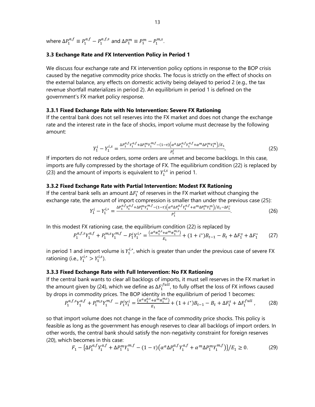where  $\Delta P_1^{a,f} \equiv P_1^{a,f} - P_1^{a,f,s}$  and  $\Delta P_1^m \equiv P_1^m - P_1^{m,s}$ .

# **3.3 Exchange Rate and FX Intervention Policy in Period 1**

We discuss four exchange rate and FX intervention policy options in response to the BOP crisis caused by the negative commodity price shocks. The focus is strictly on the effect of shocks on the external balance, any effects on domestic activity being delayed to period 2 (e.g., the tax revenue shortfall materializes in period 2). An equilibrium in period 1 is defined on the government's FX market policy response.

# **3.3.1 Fixed Exchange Rate with No Intervention: Severe FX Rationing**

If the central bank does not sell reserves into the FX market and does not change the exchange rate and the interest rate in the face of shocks, import volume must decrease by the following amount:

$$
Y_1^i - Y_1^{i,s} = \frac{\Delta P_1^{a,f} Y_1^{a,f} + \Delta P_1^m Y_1^{m,f} - (1-\tau) \left( \alpha^a \Delta P_1^{a,f} Y_1^{a,f} + \alpha^m \Delta P_1^m Y_1^m \right) / E_1}{P_1^i}.
$$
 (25)

If importers do not reduce orders, some orders are unmet and become backlogs. In this case, imports are fully compressed by the shortage of FX. The equilibrium condition (22) is replaced by (23) and the amount of imports is equivalent to  $Y_1^{l,s}$  in period 1.

#### **3.3.2 Fixed Exchange Rate with Partial Intervention: Modest FX Rationing**

If the central bank sells an amount  $\Delta F_1^*$  of reserves in the FX market without changing the exchange rate, the amount of import compression is smaller than under the previous case (25):

$$
Y_1^i - Y_1^{i,*} = \frac{\Delta P_1^{a,f} Y_1^{a,f} + \Delta P_1^m Y_1^{m,f} - (1-\tau) \left( \alpha^a \Delta P_1^{a,f} Y_1^{a,f} + \alpha^m \Delta P_1^m Y_1^m \right) / E_1 - \Delta F_1^*}{P_1^i}.
$$
(26)

In this modest FX rationing case, the equilibrium condition (22) is replaced by

$$
P_1^{a,f,s}Y_1^{a,f} + P_1^{m,s}Y_1^{m,f} - P_1^iY_1^{i,*} = \frac{(\alpha^a \pi_1^{a,s} + \alpha^m \pi_1^{m,s})}{E_1} + (1+i^*)B_{t-1} - B_t + \Delta F_1^s + \Delta F_1^s \tag{27}
$$

in period 1 and import volume is  $Y_1^{l,*}$ , which is greater than under the previous case of severe FX rationing (i.e.,  $Y_1^{l,*} > Y_1^{l,s}$ ).

# **3.3.3 Fixed Exchange Rate with Full Intervention: No FX Rationing**

If the central bank wants to clear all backlogs of imports, it must sell reserves in the FX market in the amount given by (24), which we define as  $\Delta F_1^{full}$ , to fully offset the loss of FX inflows caused by drops in commodity prices. The BOP identity in the equilibrium of period 1 becomes:

$$
P_1^{a,f,s}Y_1^{a,f} + P_1^{m,s}Y_1^{m,f} - P_1^iY_1^i = \frac{(\alpha^a \pi_1^{a,s} + \alpha^m \pi_1^{m,s})}{E_1} + (1+i^*)B_{t-1} - B_t + \Delta F_1^s + \Delta F_1^{full},\tag{28}
$$

so that import volume does not change in the face of commodity price shocks. This policy is feasible as long as the government has enough reserves to clear all backlogs of import orders. In other words, the central bank should satisfy the non-negativity constraint for foreign reserves (20), which becomes in this case:

$$
F_1 - {\left[\Delta P_1^{a,f} Y_1^{a,f} + \Delta P_1^m Y_1^{m,f} - (1-\tau) \left(\alpha^a \Delta P_1^{a,f} Y_1^{a,f} + \alpha^m \Delta P_1^m Y_1^{m,f}\right)\right]} / E_1 \ge 0. \tag{29}
$$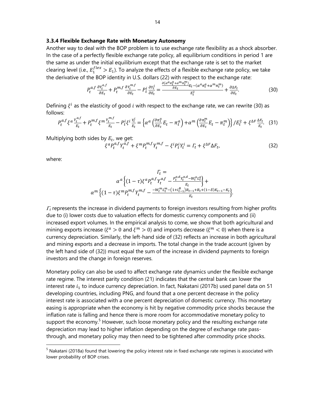#### **3.3.4 Flexible Exchange Rate with Monetary Autonomy**

Another way to deal with the BOP problem is to use exchange rate flexibility as a shock absorber. In the case of a perfectly flexible exchange rate policy, all equilibrium conditions in period 1 are the same as under the initial equilibrium except that the exchange rate is set to the market clearing level (i.e.,  $E_1^{flex} > E_1$ ). To analyze the effects of a flexible exchange rate policy, we take the derivative of the BOP identity in U.S. dollars (22) with respect to the exchange rate:

$$
P_t^{a,f} \frac{\partial Y_t^{a,f}}{\partial E_t} + P_t^{m,f} \frac{\partial Y_t^{m,f}}{\partial E_t} - P_t^i \frac{\partial Y_t^i}{\partial E_t} = \frac{\frac{\partial (\alpha^a \pi_t^a + \alpha^m \pi_t^m)}{\partial E_t} E_t - (\alpha^a \pi_t^a + \alpha^m \pi_t^m)}{E_t^2} + \frac{\partial \Delta F_t}{\partial E_t}.
$$
(30)

Defining  $\xi^i$  as the elasticity of good  $i$  with respect to the exchange rate, we can rewrite (30) as follows:

$$
P_t^{a,f} \xi^a \frac{Y_t^{a,f}}{E_t} + P_t^{m,f} \xi^m \frac{Y_t^{m,f}}{E_t} - P_t^i \xi^i \frac{Y_t^i}{E_t} = \left\{ \alpha^a \left( \frac{\partial \pi_t^a}{\partial E_t} E_t - \pi_t^a \right) + \alpha^m \left( \frac{\partial \pi_t^m}{\partial E_t} E_t - \pi_t^m \right) \right\} / E_t^2 + \xi^{\Delta F} \frac{\Delta F_t}{E_t}.
$$
 (31)

Multiplying both sides by  $E_t$ , we get:

$$
\xi^{a} P_{t}^{a,f} Y_{t}^{a,f} + \xi^{m} P_{t}^{m,f} Y_{t}^{m,f} - \xi^{i} P_{t}^{i} Y_{t}^{i} = \Gamma_{t} + \xi^{\Delta F} \Delta F_{t},
$$
\n(32)

where:

 $\overline{a}$ 

$$
\Gamma_t = \alpha^a \left\{ (1-\tau)\xi^a P_t^{a,f} Y_t^{a,f} - \frac{P_t^{a,d} Y_t^{a,d} - W_t^a L_t^a}{E_t} \right\} + \alpha^m \left\{ (1-\tau)\xi^m P_t^{m,f} Y_t^{m,f} - \frac{-W_t^m L_t^m - (1+t_{t-1}^B)B_{t-1} + B_t + (1-\delta)K_{t-1} - K_t}{E_t} \right\}.
$$

 $\varGamma_t$  represents the increase in dividend payments to foreign investors resulting from higher profits due to (i) lower costs due to valuation effects for domestic currency components and (ii) increased export volumes. In the empirical analysis to come, we show that both agricultural and mining exports increase ( $\xi^a > 0$  and  $\xi^m > 0$ ) and imports decrease ( $\xi^m < 0$ ) when there is a currency depreciation. Similarly, the left-hand side of (32) reflects an increase in both agricultural and mining exports and a decrease in imports. The total change in the trade account (given by the left hand side of (32)) must equal the sum of the increase in dividend payments to foreign investors and the change in foreign reserves.

Monetary policy can also be used to affect exchange rate dynamics under the flexible exchange rate regime. The interest parity condition (21) indicates that the central bank can lower the interest rate  $i_1$  to induce currency depreciation. In fact, Nakatani (2017b) used panel data on 51 developing countries, including PNG, and found that a one percent decrease in the policy interest rate is associated with a one percent depreciation of domestic currency. This monetary easing is appropriate when the economy is hit by negative commodity price shocks because the inflation rate is falling and hence there is more room for accommodative monetary policy to support the economy.<sup>5</sup> However, such loose monetary policy and the resulting exchange rate depreciation may lead to higher inflation depending on the degree of exchange rate passthrough, and monetary policy may then need to be tightened after commodity price shocks.

<sup>&</sup>lt;sup>5</sup> Nakatani (2018a) found that lowering the policy interest rate in fixed exchange rate regimes is associated with lower probability of BOP crises.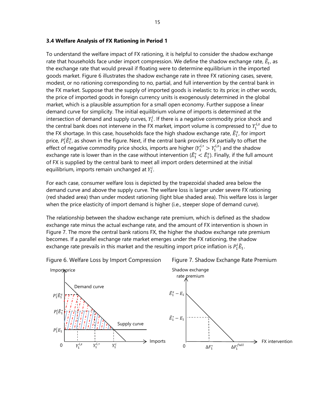#### **3.4 Welfare Analysis of FX Rationing in Period 1**

To understand the welfare impact of FX rationing, it is helpful to consider the shadow exchange rate that households face under import compression. We define the shadow exchange rate,  $\tilde{E}_{t}$ , as the exchange rate that would prevail if floating were to determine equilibrium in the imported goods market. Figure 6 illustrates the shadow exchange rate in three FX rationing cases, severe, modest, or no rationing corresponding to no, partial, and full intervention by the central bank in the FX market. Suppose that the supply of imported goods is inelastic to its price; in other words, the price of imported goods in foreign currency units is exogenously determined in the global market, which is a plausible assumption for a small open economy. Further suppose a linear demand curve for simplicity. The initial equilibrium volume of imports is determined at the intersection of demand and supply curves,  $Y_1^l$ . If there is a negative commodity price shock and the central bank does not intervene in the FX market, import volume is compressed to  $Y_1^{t,s}$  due to the FX shortage. In this case, households face the high shadow exchange rate,  $\bar{E}_1^s$ , for import price,  $P_1^t \tilde{E}_1^s$ , as shown in the figure. Next, if the central bank provides FX partially to offset the effect of negative commodity price shocks, imports are higher  $(Y_1^{l,*} > Y_1^{l,s})$  and the shadow exchange rate is lower than in the case without intervention ( $\tilde{E}_1^* < \tilde{E}_1^s$ ). Finally, if the full amount of FX is supplied by the central bank to meet all import orders determined at the initial equilibrium, imports remain unchanged at  $Y_1^{\iota}$ .

15

For each case, consumer welfare loss is depicted by the trapezoidal shaded area below the demand curve and above the supply curve. The welfare loss is larger under severe FX rationing (red shaded area) than under modest rationing (light blue shaded area). This welfare loss is larger when the price elasticity of import demand is higher (i.e., steeper slope of demand curve).

The relationship between the shadow exchange rate premium, which is defined as the shadow exchange rate minus the actual exchange rate, and the amount of FX intervention is shown in Figure 7. The more the central bank rations FX, the higher the shadow exchange rate premium becomes. If a parallel exchange rate market emerges under the FX rationing, the shadow exchange rate prevails in this market and the resulting import price inflation is  $P_1^t\tilde{E}_1.$ 

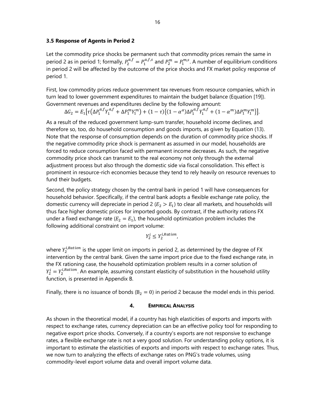# **3.5 Response of Agents in Period 2**

Let the commodity price shocks be permanent such that commodity prices remain the same in period 2 as in period 1; formally,  $P_2^{a,f}=P_1^{a,f,s}$  and  $P_2^m=P_1^{m,s}$ . A number of equilibrium conditions in period 2 will be affected by the outcome of the price shocks and FX market policy response of period 1.

First, low commodity prices reduce government tax revenues from resource companies, which in turn lead to lower government expenditures to maintain the budget balance (Equation [19]). Government revenues and expenditures decline by the following amount:

 $\Delta G_2 = E_1 \big[ \tau \big( \Delta P_1^{a,f} Y_1^{a,f} + \Delta P_1^m Y_1^m \big) + (1 - \tau) \big\{ (1 - \alpha^a) \Delta P_1^{a,f} Y_1^{a,f} + (1 - \alpha^m) \Delta P_1^m Y_1^m \big\} \big].$ 

As a result of the reduced government lump-sum transfer, household income declines, and therefore so, too, do household consumption and goods imports, as given by Equation (13). Note that the response of consumption depends on the duration of commodity price shocks. If the negative commodity price shock is permanent as assumed in our model, households are forced to reduce consumption faced with permanent income decreases. As such, the negative commodity price shock can transmit to the real economy not only through the external adjustment process but also through the domestic side via fiscal consolidation. This effect is prominent in resource-rich economies because they tend to rely heavily on resource revenues to fund their budgets.

Second, the policy strategy chosen by the central bank in period 1 will have consequences for household behavior. Specifically, if the central bank adopts a flexible exchange rate policy, the domestic currency will depreciate in period 2 ( $E_2 > E_1$ ) to clear all markets, and households will thus face higher domestic prices for imported goods. By contrast, if the authority rations FX under a fixed exchange rate ( $E_2 = E_1$ ), the household optimization problem includes the following additional constraint on import volume:

$$
Y_2^i \leq Y_2^{i,Ration},
$$

where  $Y_2^{l,Ration}$  is the upper limit on imports in period 2, as determined by the degree of FX  $\,$ intervention by the central bank. Given the same import price due to the fixed exchange rate, in the FX rationing case, the household optimization problem results in a corner solution of  $Y_2^i = Y_2^{i, Ration}$ . An example, assuming constant elasticity of substitution in the household utility function, is presented in Appendix B.

Finally, there is no issuance of bonds ( $B_2 = 0$ ) in period 2 because the model ends in this period.

# **4. EMPIRICAL ANALYSIS**

As shown in the theoretical model, if a country has high elasticities of exports and imports with respect to exchange rates, currency depreciation can be an effective policy tool for responding to negative export price shocks. Conversely, if a country's exports are not responsive to exchange rates, a flexible exchange rate is not a very good solution. For understanding policy options, it is important to estimate the elasticities of exports and imports with respect to exchange rates. Thus, we now turn to analyzing the effects of exchange rates on PNG's trade volumes, using commodity-level export volume data and overall import volume data.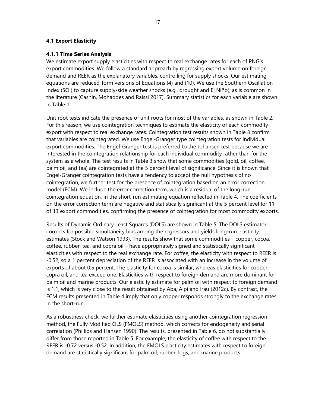# **4.1 Export Elasticity**

#### **4.1.1 Time Series Analysis**

We estimate export supply elasticities with respect to real exchange rates for each of PNG's export commodities. We follow a standard approach by regressing export volume on foreign demand and REER as the explanatory variables, controlling for supply shocks. Our estimating equations are reduced-form versions of Equations (4) and (10). We use the Southern Oscillation Index (SOI) to capture supply-side weather shocks (e.g., drought and El Niño), as is common in the literature (Cashin, Mohaddes and Raissi 2017). Summary statistics for each variable are shown in Table 1.

Unit root tests indicate the presence of unit roots for most of the variables, as shown in Table 2. For this reason, we use cointegration techniques to estimate the elasticity of each commodity export with respect to real exchange rates. Cointegration test results shown in Table 3 confirm that variables are cointegrated. We use Engel-Granger type cointegration tests for individual export commodities. The Engel-Granger test is preferred to the Johansen test because we are interested in the cointegration relationship for each individual commodity rather than for the system as a whole. The test results in Table 3 show that some commodities (gold, oil, coffee, palm oil, and tea) are cointegrated at the 5 percent level of significance. Since it is known that Engel-Granger cointegration tests have a tendency to accept the null hypothesis of no cointegration, we further test for the presence of cointegration based on an error correction model (ECM). We include the error correction term, which is a residual of the long-run cointegration equation, in the short-run estimating equation reflected in Table 4. The coefficients on the error correction term are negative and statistically significant at the 5 percent level for 11 of 13 export commodities, confirming the presence of cointegration for most commodity exports.

Results of Dynamic Ordinary Least Squares (DOLS) are shown in Table 5. The DOLS estimator corrects for possible simultaneity bias among the regressors and yields long-run elasticity estimates (Stock and Watson 1993). The results show that some commodities – copper, cocoa, coffee, rubber, tea, and copra oil – have appropriately signed and statistically significant elasticities with respect to the real exchange rate. For coffee, the elasticity with respect to REER is -0.52, so a 1 percent depreciation of the REER is associated with an increase in the volume of exports of about 0.5 percent. The elasticity for cocoa is similar, whereas elasticities for copper, copra oil, and tea exceed one. Elasticities with respect to foreign demand are more dominant for palm oil and marine products. Our elasticity estimate for palm oil with respect to foreign demand is 1.1, which is very close to the result obtained by Aba, Aipi and Irau (2012c). By contrast, the ECM results presented in Table 4 imply that only copper responds strongly to the exchange rates in the short-run.

As a robustness check, we further estimate elasticities using another cointegration regression method, the Fully Modified OLS (FMOLS) method, which corrects for endogeneity and serial correlation (Phillips and Hansen 1990). The results, presented in Table 6, do not substantially differ from those reported in Table 5. For example, the elasticity of coffee with respect to the REER is -0.72 versus -0.52. In addition, the FMOLS elasticity estimates with respect to foreign demand are statistically significant for palm oil, rubber, logs, and marine products.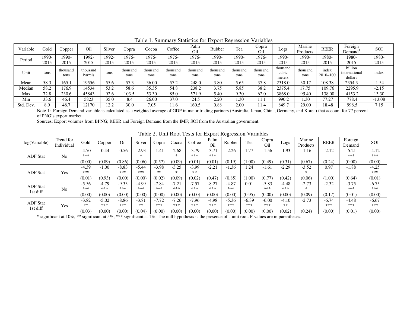| Variable  | Gold  | Copper           | Oil                 | Silver      | Copra            | Cocoa            | Coffee           | Palm<br>Oil      | Rubber           | Tea              | Copra<br>Oil     | Logs                        | Marine<br>Products | <b>REER</b>         | Foreign<br>Demand                   | SOI      |
|-----------|-------|------------------|---------------------|-------------|------------------|------------------|------------------|------------------|------------------|------------------|------------------|-----------------------------|--------------------|---------------------|-------------------------------------|----------|
| Period    | 1990- | 1990-            | 1992-               | 1992-       | 1976-            | 1976-            | 1976-            | 1976-            | 1990-            | 1990-            | 1976-            | 1990-                       | 1990-              | 1980-               | 1980-                               | 1980-    |
|           | 2015  | 2015             | 2015                | 2015        | 2015             | 2015             | 2015             | 2015             | 2015             | 2015             | 2015             | 2015                        | 2015               | 2015                | 2015                                | 2015     |
| Unit      | tons  | thousand<br>tons | thousand<br>barrels | tons        | thousand<br>tons | thousand<br>tons | thousand<br>tons | thousand<br>tons | thousand<br>tons | thousand<br>tons | thousand<br>tons | thousand<br>cubic<br>meters | thousand<br>tons   | index<br>$2010=100$ | billion<br>international<br>dollars | index    |
| Mean      | 58.3  | 165.1            | 19556               | 55.6        | 57.3             | 36.00            | 57.2             | 248.0            | 3.80             | 5.65             | 37.8             | 2318.0                      | 30.17              | 108.38              | 2354.3                              | $-1.54$  |
| Median    | 58.2  | 176.9            | 14534               | 53.2        | 58.6             | 35.35            | 54.8             | 238.2            | 3.75             | 5.85             | 38.2             | 2375.4                      | .7.75              | 109.76              | 2295.9                              | $-2.15$  |
| Max       | 72.8  | 230.6            | 45843               | 92.6        | 103.5            | 53.30            | 85.0             | 571.9            | 5.40             | 9.30             | 62.0             | 3868.0                      | 95.40              | 138.00              | 4153.2                              | 13.30    |
| Min       | 33.6  | 46.4             | 5823                | 35.0        | 8.4              | 26.00            | 37.0             | 24.5             | 2.20             | 1.30             |                  | 990.2                       | 1.30               | 77.27               | 778.4                               | $-13.08$ |
| Std. Dev. | 8.9   | 48.7             | 12170               | 122<br>12.Z | 30.0             | 7.05             | 11.6             | 160.5            | 0.88             | 2.00             |                  | 849.7                       | 29.00              | 18.48               | 998.5                               | 7.15     |

Table 1. Summary Statistics for Export Regression Variables

Note 1: Foreign Demand variable is calculated as a weighted average of GDP in major trading partners (Australia, Japan, China, Germany, and Korea) that account for 77 percent of PNG's export market.

Sources: Export volumes from BPNG; REER and Foreign Demand from the IMF; SOI from the Australian government.

Table 2. Unit Root Tests for Export Regression Variables

| log(Variable)               | Trend for<br>Individual | Gold                      | Copper                   | Oil                      | Silver                   | Copra                    | Cocoa                    | Coffee                   | Palm<br>Oil              | Rubber                   | Tea                      | Copra<br>Oil             | Logs                     | Marine<br>Products          | <b>REER</b>              | Foreign<br>Demand        | SOI                      |
|-----------------------------|-------------------------|---------------------------|--------------------------|--------------------------|--------------------------|--------------------------|--------------------------|--------------------------|--------------------------|--------------------------|--------------------------|--------------------------|--------------------------|-----------------------------|--------------------------|--------------------------|--------------------------|
| <b>ADF</b> Stat             | N <sub>o</sub>          | $-4.70$<br>***            | $-0.44$                  | $-0.56$                  | $-2.93$<br>*             | $-1.41$                  | $-2.68$                  | $-3.79$<br>***           | $-3.71$<br>***           | $-2.26$                  | 1.77                     | $-1.56$                  | 1.93                     | $-1.16$                     | $-2.12$                  | $-5.21$<br>***           | $-4.12$<br>***           |
|                             |                         | (0.00)                    | (0.89)                   | (0.86)                   | (0.06)                   | (0.57)                   | (0.09)                   | (0.01)                   | (0.01)                   | (0.19)                   | (00.1)                   | (0.49)                   | (0.31)                   | (0.67)                      | (0.24)                   | (0.00)                   | (0.00)                   |
| <b>ADF</b> Stat             | Yes                     | $-4.39$<br>***            | $-1.00$                  | $-8.83$<br>***           | $-5.44$<br>***           | $-3.98$<br>**            | $-3.25$                  | $-3.99$<br>$**$          | $-2.21$                  | $-1.36$                  | .24                      | $-1.61$                  | $-2.29$                  | $-3.52$<br>$\ast$           | 0.97                     | $-1.88$                  | $-4.25$<br>***           |
|                             |                         | (0.01)                    | (0.93)                   | (0.00)                   | (0.00)                   | (0.02)                   | (0.09)                   | (0.02)                   | (0.47)                   | (0.85)                   | 1.00                     | (0.77)                   | (0.42)                   | (0.06)                      | (1.00)                   | (0.64)                   | (0.01)                   |
| <b>ADF</b> Stat<br>1st diff | No                      | $-5.56$<br>***<br>(0.00)  | $-4.79$<br>***<br>(0.00) | $-9.33$<br>***<br>(0.00) | $-4.99$<br>***<br>(0.00) | $-7.84$<br>***<br>(0.00) | $-7.21$<br>***<br>(0.00) | $-7.57$<br>***<br>(0.00) | $-8.27$<br>***<br>(0.00) | $-4.87$<br>***<br>(0.00) | 0.01<br>(0.95)           | $-5.83$<br>***<br>(0.00) | $-4.48$<br>***<br>(0.00) | $-2.73$<br>$\ast$<br>(0.09) | $-2.32$<br>(0.17)        | $-3.75$<br>***<br>(0.01) | $-6.75$<br>***<br>(0.00) |
| <b>ADF</b> Stat<br>1st diff | Yes                     | $-3.82$<br>$**$<br>(0.03) | $-5.02$<br>***<br>(0.00) | $-8.86$<br>***<br>(0.00) | $-3.81$<br>**<br>(0.04)  | $-7.72$<br>***<br>(0.00) | $-7.26$<br>***<br>(0.00) | $-7.96$<br>***<br>(0.00) | $-4.98$<br>***<br>(0.00) | $-5.36$<br>***<br>(0.00) | $-6.39$<br>***<br>(0.00) | $-6.00$<br>***<br>(0.00) | $-4.10$<br>**<br>(0.02)  | $-2.73$<br>(0.24)           | $-6.74$<br>***<br>(0.00) | $-4.48$<br>***<br>(0.01) | $-6.67$<br>***<br>(0.00) |

\* significant at 10%, \*\* significant at 5%, \*\*\* significant at 1%. The null hypothesis is the presence of a unit root. P-values are in parentheses.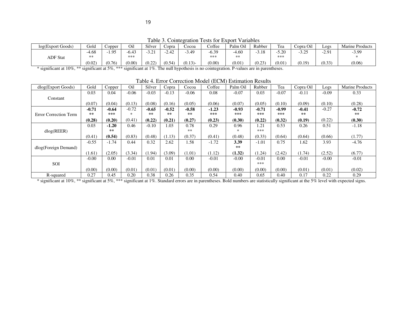Table 3. Cointegration Tests for Export Variables

|                   |         |                                  |                    |                         |         |        |        | --- --------- |         |              |                      |        |                        |
|-------------------|---------|----------------------------------|--------------------|-------------------------|---------|--------|--------|---------------|---------|--------------|----------------------|--------|------------------------|
| log(Export Goods) | Gold    | Copper                           | Oil                | Silver                  | ∴opra   | Cocoa  | Coffee | Palm Oil      | Rubber  | Tea          | Copra Oil            | Logs   | <b>Marine Products</b> |
|                   | $-4.68$ | 1.95<br>$\overline{\phantom{0}}$ | $\Lambda$<br>-0.45 | $\sim$ $\sim$<br>. سه ب | $-2.42$ | 3.49   | 6.39   | $-4.60$       | $-3.18$ | 5.20<br>J.ZU | າກະ<br>- 7<br>ن کے و | 2.91   | $-3.99$                |
| ADF Stat          | **      |                                  | ***                |                         |         |        | ***    | $**$          |         | ***          |                      |        |                        |
|                   | (0.02)  | (0.76)                           | (0.00)             | (0.22)                  | (0.54)  | (0.13) | (0.00) | (0.01)        | (0.23)  | (0.01)       | (0.19)               | (0.33) | (0.06)                 |

\* significant at 10%, \*\* significant at 5%, \*\*\* significant at 1%. The null hypothesis is no cointegration. P-values are in parentheses.

|                       |         |         |         |         |         | ruole II Enfor Contection Infouer | , , , , , , , , , | <b>EDUCITION</b> TWO SILD |         |         |           |         |                        |
|-----------------------|---------|---------|---------|---------|---------|-----------------------------------|-------------------|---------------------------|---------|---------|-----------|---------|------------------------|
| dlog(Export Goods)    | Gold    | Copper  | Oil     | Silver  | Copra   | Cocoa                             | Coffee            | Palm Oil                  | Rubber  | Tea     | Copra Oil | Logs    | <b>Marine Products</b> |
|                       | 0.03    | 0.04    | $-0.06$ | $-0.03$ | $-0.13$ | $-0.06$                           | 0.08              | $-0.07$                   | 0.03    | $-0.07$ | $-0.11$   | $-0.09$ | 0.33                   |
| Constant              |         |         |         |         |         |                                   |                   |                           |         |         |           |         |                        |
|                       | (0.07)  | (0.04)  | (0.13)  | (0.08)  | (0.16)  | (0.05)                            | (0.06)            | (0.07)                    | (0.05)  | (0.10)  | (0.09)    | (0.10)  | (0.28)                 |
|                       | $-0.71$ | $-0.64$ | $-0.72$ | $-0.65$ | $-0.52$ | $-0.58$                           | $-1.23$           | $-0.93$                   | $-0.71$ | $-0.99$ | $-0.41$   | $-0.27$ | $-0.72$                |
| Error Correction Term | **      | ***     | ∗       | **      | **      | **                                | ***               | ***                       | ***     | ***     | **        |         | **                     |
|                       | (0.28)  | (0.20)  | (0.41)  | (0.22)  | (0.21)  | (0.27)                            | (0.23)            | (0.30)                    | (0.22)  | (0.32)  | (0.19)    | (0.22)  | (0.30)                 |
|                       | 0.03    | $-1.20$ | 0.46    | $-0.10$ | 1.03    | 0.78                              | 0.29              | 0.96                      | 1.21    | 0.53    | 0.26      | 0.51    | $-1.18$                |
| dlog(REER)            |         | **      |         |         |         | **                                |                   |                           | ***     |         |           |         |                        |
|                       | (0.41)  | (0.54)  | (0.83)  | (0.48)  | (1.13)  | (0.37)                            | (0.41)            | (0.48)                    | (0.33)  | (0.64)  | (0.64)    | (0.66)  | (1.77)                 |
|                       | $-0.55$ | $-1.74$ | 0.44    | 0.32    | 2.62    | 1.58                              | $-1.72$           | 3.39                      | $-1.01$ | 0.75    | 1.62      | 3.93    | $-4.76$                |
| dlog(Foreign Demand)  |         |         |         |         |         |                                   |                   | **                        |         |         |           |         |                        |
|                       | (1.61)  | (2.05)  | (3.34)  | (1.94)  | (3.09)  | (1.01)                            | (1.12)            | (1.32)                    | (1.24)  | (2.42)  | (1.74)    | (2.52)  | (6.77)                 |
|                       | $-0.00$ | 0.00    | $-0.01$ | 0.01    | 0.01    | 0.00                              | $-0.01$           | $-0.00$                   | $-0.01$ | 0.00    | $-0.01$   | $-0.00$ | $-0.01$                |
| SOI                   |         |         |         |         |         |                                   |                   |                           | ***     |         |           |         |                        |
|                       | (0.00)  | (0.00)  | (0.01)  | (0.01)  | (0.01)  | (0.00)                            | (0.00)            | (0.00)                    | (0.00)  | (0.00)  | (0.01)    | (0.01)  | (0.02)                 |
| R-squared             | 0.27    | 0.45    | 0.20    | 0.38    | 0.26    | 0.35                              | 0.54              | 0.40                      | 0.65    | 0.40    | 0.17      | 0.22    | 0.29                   |

Table 4. Error Correction Model (ECM) Estimation Results

\* significant at 10%, \*\* significant at 5%, \*\*\* significant at 1%. Standard errors are in parentheses. Bold numbers are statistically significant at the 5% level with expected signs.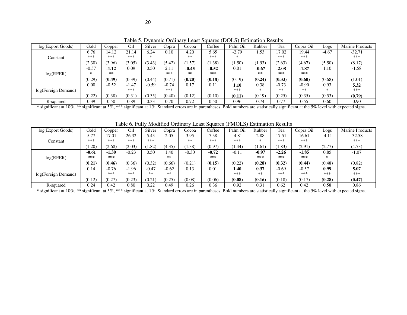|                     |         |         | - - - - - - - - - | -------- |         | ------  |         |          |         |         |           |         |                        |
|---------------------|---------|---------|-------------------|----------|---------|---------|---------|----------|---------|---------|-----------|---------|------------------------|
| log(Export Goods)   | Gold    | Copper  | Oil               | Silver   | Copra   | Cocoa   | Coffee  | Palm Oil | Rubber  | Tea     | Copra Oil | Logs    | <b>Marine Products</b> |
|                     | 6.76    | 14.12   | 21.14             | 6.24     | 0.10    | 4.20    | 5.65    | $-2.79$  | 1.53    | 17.02   | 19.44     | $-4.67$ | $-32.71$               |
| Constant            | ***     | ***     | ***               | $\ast$   |         | **      | ***     | ∗        |         | ***     | ***       |         | ***                    |
|                     | (2.30)  | (3.96)  | (3.05)            | (3.43)   | (5.42)  | (1.57)  | 1.38)   | (1.50)   | (1.93)  | (2.63)  | (4.67)    | (5.50)  | (8.17)                 |
|                     | $-0.57$ | $-1.12$ | 0.09              | 0.50     | 2.11    | $-0.45$ | $-0.52$ | 0.01     | $-0.67$ | $-2.08$ | $-1.87$   | 1.10    | $-1.58$                |
| log(REER)           | ∗       | **      |                   |          | ***     | **      | ***     |          | **      | ***     | ***       |         |                        |
|                     | (0.29)  | (0.49)  | (0.39)            | (0.44)   | (0.71)  | (0.20)  | (0.18)  | (0.19)   | (0.24)  | (0.33)  | (0.60)    | (0.68)  | (1.01)                 |
|                     | 0.00    | $-0.52$ | $-1.47$           | $-0.59$  | $-0.74$ | 0.17    | 0.11    | 1.10     | 0.38    | $-0.73$ | $-0.90$   | 0.93    | 5.32                   |
| log(Foreign Demand) |         |         | ***               |          | ***     |         |         | ***      | $\ast$  | $**$    | $**$      | ∗       | ***                    |
|                     | (0.22)  | (0.38)  | (0.31)            | (0.35)   | (0.40)  | (0.12)  | (0.10)  | (0.11)   | (0.19)  | (0.25)  | (0.35)    | (0.53)  | (0.79)                 |
| R-squared           | 0.39    | 0.50    | 0.89              | 0.33     | 0.70    | 0.72    | 0.50    | 0.96     | 0.74    | 0.77    | 0.55      | 0.60    | 0.90                   |

Table 5. Dynamic Ordinary Least Squares (DOLS) Estimation Results

\* significant at 10%, \*\* significant at 5%, \*\*\* significant at 1%. Standard errors are in parentheses. Bold numbers are statistically significant at the 5% level with expected signs.

Table 6. Fully Modified Ordinary Least Squares (FMOLS) Estimation Results

| log(Export Goods)   | Gold    | Copper  | Oil     | Silver  | Copra   | Cocoa          | Coffee  | Palm Oil | Rubber  | Tea     | Copra Oil | $-0gS$ | <b>Marine Products</b> |
|---------------------|---------|---------|---------|---------|---------|----------------|---------|----------|---------|---------|-----------|--------|------------------------|
|                     | 5.77    | 17.01   | 26.32   | 5.43    | 2.05    | 3.95           | 7.38    | $-4.81$  | 2.88    | 17.51   | 16.61     | $-4.1$ | $-32.58$               |
| Constant            | ***     | ***     | ***     | ***     |         | $**$           | ***     | ***      | $\ast$  | ***     | ***       |        | ***                    |
|                     | (1.20)  | (2.68)  | (2.03)  | (1.82)  | (4.35)  | $1.38^{\circ}$ | (0.97)  | (1.44)   | (1.61)  | 1.83)   | (2.91)    | (2.77) | (4.73)                 |
|                     | $-0.61$ | $-1.30$ | $-0.23$ | 0.50    | .40     | $-0.30$        | $-0.72$ | $-0.11$  | $-0.97$ | $-2.26$ | $-1.85$   | 0.85   | $-1.07$                |
| log(REER)           | ***     | ***     |         |         | $**$    |                | ***     |          | ***     | ***     | ***       | *      |                        |
|                     | (0.21)  | (0.46)  | (0.36)  | (0.32)  | (0.66)  | (0.21)         | (0.15)  | (0.22)   | (0.28)  | (0.32)  | (0.44)    | (0.48) | (0.82)                 |
|                     | 0.14    | $-0.76$ | $-1.96$ | $-0.47$ | $-0.62$ | 0.13           | 0.01    | 1.40     | 0.37    | $-0.69$ | $-0.57$   | 0.99   | 5.07                   |
| log(Foreign Demand) |         | ***     | ***     | **      | **      |                |         | ***      | **      | ***     | ***       | ***    | ***                    |
|                     | (0.12)  | (0.27)  | (0.23)  | (0.21)  | (0.25)  | (0.08)         | (0.06)  | (0.08)   | (0.16)  | (0.18)  | (0.17)    | (0.28) | (0.47)                 |
| R-squared           | 0.24    | 0.42    | 0.80    | 0.22    | 0.49    | 0.26           | 0.36    | 0.92     | 0.31    | 0.62    | 0.42      | 0.58   | 0.86                   |

\* significant at 10%, \*\* significant at 5%, \*\*\* significant at 1%. Standard errors are in parentheses. Bold numbers are statistically significant at the 5% level with expected signs.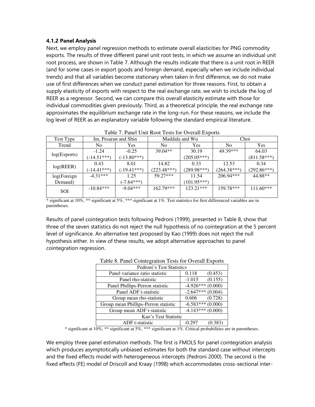# **4.1.2 Panel Analysis**

Next, we employ panel regression methods to estimate overall elasticities for PNG commodity exports. The results of three different panel unit root tests, in which we assume an individual unit root process, are shown in Table 7. Although the results indicate that there is a unit root in REER (and for some cases in export goods and foreign demand, especially when we include individual trends) and that all variables become stationary when taken in first difference, we do not make use of first differences when we conduct panel estimation for three reasons. First, to obtain a supply elasticity of exports with respect to the real exchange rate, we wish to include the log of REER as a regressor. Second, we can compare this overall elasticity estimate with those for individual commodities given previously. Third, as a theoretical principle, the real exchange rate approximates the equilibrium exchange rate in the long-run. For these reasons, we include the log level of REER as an explanatory variable following the standard empirical literature.

| Test Type    |                | Im, Pesaran and Shin |               | Maddala and Wu | Choi           |               |  |
|--------------|----------------|----------------------|---------------|----------------|----------------|---------------|--|
| Trend        | N <sub>0</sub> | Yes                  | No            | Yes            | N <sub>0</sub> | Yes           |  |
|              | $-1.24$        | $-0.25$              | $39.04**$     | 30.19          | 49.39***       | 64.03         |  |
| log(Exports) | $(-14.51***)$  | $(-13.80***)$        |               | $(205.05***)$  |                | $(811.58***)$ |  |
|              | 0.43           | 8.01                 | 14.82         | 0.33           | 12.53          | 0.34          |  |
| log(REER)    | $(-14.41***)$  | (-19.41***)          | $(223.48***)$ | (289.98***)    | $(264.38***)$  | (292.86***)   |  |
| log(Foreign  | $-4.31***$     | 1.25                 | $59.27***$    | 11.54          | 206.94***      | 44.88**       |  |
| Demand)      |                | $(-7.64***)$         |               | $(101.95***)$  |                |               |  |
| SOI          | $-10.84***$    | $-9.04***$           | $162.79***$   | $123.21***$    | 159.78***      | $111.60***$   |  |

| Table 7. Panel Unit Root Tests for Overall Exports |
|----------------------------------------------------|
|----------------------------------------------------|

\* significant at 10%, \*\* significant at 5%, \*\*\* significant at 1%. Test statistics for first differenced variables are in parentheses.

Results of panel cointegration tests following Pedroni (1999), presented in Table 8, show that three of the seven statistics do not reject the null hypothesis of no cointegration at the 5 percent level of significance. An alternative test proposed by Kao (1999) does not reject the null hypothesis either. In view of these results, we adopt alternative approaches to panel cointegration regression.

| Pedroni's Test Statistics            |                     |         |
|--------------------------------------|---------------------|---------|
| Panel variance ratio statistic       | 0.118               | (0.453) |
| Panel rho-statistic                  | $-1.015$            | (0.155) |
| Panel Phillips-Perron statistic      | $-4.926***(0.000)$  |         |
| Panel ADF t-statistic                | $-2.647***$ (0.004) |         |
| Group mean rho-statistic             | 0.606               | (0.728) |
| Group mean Phillips-Perron statistic | $-6.583***(0.000)$  |         |
| Group mean ADF t-statistic           | $-4.143***(0.000)$  |         |
| Kao's Test Statistic                 |                     |         |
| ADF t-statistic                      | $-0.297$            | (0.383) |

# Table 8. Panel Cointegration Tests for Overall Exports

\* significant at 10%, \*\* significant at 5%, \*\*\* significant at 1%. Critical probabilities are in parentheses.

We employ three panel estimation methods. The first is FMOLS for panel cointegration analysis which produces asymptotically unbiased estimates for both the standard case without intercepts and the fixed effects model with heterogeneous intercepts (Pedroni 2000). The second is the fixed effects (FE) model of Driscoll and Kraay (1998) which accommodates cross-sectional inter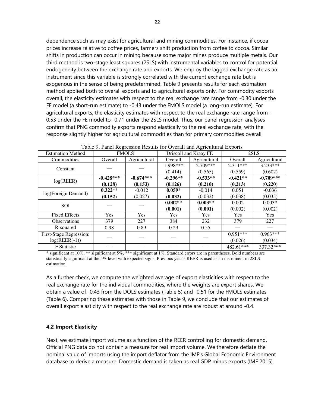dependence such as may exist for agricultural and mining commodities. For instance, if cocoa prices increase relative to coffee prices, farmers shift production from coffee to cocoa. Similar shifts in production can occur in mining because some major mines produce multiple metals. Our third method is two-stage least squares (2SLS) with instrumental variables to control for potential endogeneity between the exchange rate and exports. We employ the lagged exchange rate as an instrument since this variable is strongly correlated with the current exchange rate but is exogenous in the sense of being predetermined. Table 9 presents results for each estimation method applied both to overall exports and to agricultural exports only. For commodity exports overall, the elasticity estimates with respect to the real exchange rate range from -0.30 under the FE model (a short-run estimate) to -0.43 under the FMOLS model (a long-run estimate). For agricultural exports, the elasticity estimates with respect to the real exchange rate range from - 0.53 under the FE model to -0.71 under the 2SLS model. Thus, our panel regression analyses confirm that PNG commodity exports respond elastically to the real exchange rate, with the response slightly higher for agricultural commodities than for primary commodities overall.

| <b>Estimation Method</b> | <b>FMOLS</b> |              |            | Driscoll and Kraay FE | 2SLS       |              |  |
|--------------------------|--------------|--------------|------------|-----------------------|------------|--------------|--|
| Commodities              | Overall      | Agricultural | Overall    | Agricultural          | Overall    | Agricultural |  |
|                          |              |              | 1.998***   | $2.709***$            | $2.311***$ | $3.233***$   |  |
| Constant                 |              |              | (0.414)    | (0.565)               | (0.559)    | (0.602)      |  |
|                          | $-0.428***$  | $-0.674***$  | $-0.296**$ | $-0.533**$            | $-0.421**$ | $-0.709***$  |  |
| log(REER)                | (0.128)      | (0.153)      | (0.126)    | (0.210)               | (0.213)    | (0.220)      |  |
|                          | $0.322**$    | $-0.012$     | $0.059*$   | $-0.014$              | 0.051      | $-0.036$     |  |
| log(Foreign Demand)      | (0.152)      | (0.027)      | (0.032)    | (0.032)               | (0.038)    | (0.035)      |  |
| <b>SOI</b>               |              |              | $0.002**$  | $0.003**$             | 0.002      | $0.003*$     |  |
|                          |              |              | (0.001)    | (0.001)               | (0.002)    | (0.002)      |  |
| <b>Fixed Effects</b>     | Yes          | Yes          | Yes        | Yes                   | Yes        | Yes          |  |
| <b>Observations</b>      | 379          | 227          | 384        | 232                   | 379        | 227          |  |
| R-squared                | 0.98         | 0.89         | 0.29       | 0.55                  |            |              |  |
| First-Stage Regression:  |              |              |            |                       | $0.951***$ | $0.963***$   |  |
| $log(REER(-1))$          |              |              |            |                       | (0.026)    | (0.034)      |  |
| F Statistic              |              |              |            |                       | 482.61***  | 337.32***    |  |

|  | Table 9. Panel Regression Results for Overall and Agricultural Exports |  |  |  |  |
|--|------------------------------------------------------------------------|--|--|--|--|
|  |                                                                        |  |  |  |  |

\* significant at 10%, \*\* significant at 5%, \*\*\* significant at 1%. Standard errors are in parentheses. Bold numbers are statistically significant at the 5% level with expected signs. Previous year's REER is used as an instrument in 2SLS estimation.

As a further check, we compute the weighted average of export elasticities with respect to the real exchange rate for the individual commodities, where the weights are export shares. We obtain a value of -0.43 from the DOLS estimates (Table 5) and -0.51 for the FMOLS estimates (Table 6). Comparing these estimates with those in Table 9, we conclude that our estimates of overall export elasticity with respect to the real exchange rate are robust at around -0.4.

# **4.2 Import Elasticity**

Next, we estimate import volume as a function of the REER controlling for domestic demand. Official PNG data do not contain a measure for real import volume. We therefore deflate the nominal value of imports using the import deflator from the IMF's Global Economic Environment database to derive a measure. Domestic demand is taken as real GDP minus exports (IMF 2015).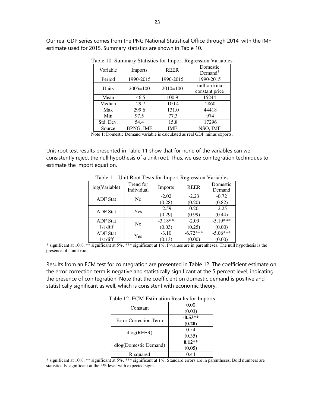Our real GDP series comes from the PNG National Statistical Office through 2014, with the IMF estimate used for 2015. Summary statistics are shown in Table 10.

| $\ldots$  |                  |             |                                                                                                                 |  |  |  |  |  |  |
|-----------|------------------|-------------|-----------------------------------------------------------------------------------------------------------------|--|--|--|--|--|--|
| Variable  | Imports          | <b>REER</b> | Domestic<br>Demand <sup>1</sup>                                                                                 |  |  |  |  |  |  |
| Period    | 1990-2015        | 1990-2015   | 1990-2015                                                                                                       |  |  |  |  |  |  |
| Units     | $2005 = 100$     | $2010=100$  | million kina                                                                                                    |  |  |  |  |  |  |
|           |                  |             | constant price                                                                                                  |  |  |  |  |  |  |
| Mean      | 146.5            | 100.9       | 15244                                                                                                           |  |  |  |  |  |  |
| Median    | 129.7            | 100.4       | 2860                                                                                                            |  |  |  |  |  |  |
| Max       | 299.6            | 131.0       | 44418                                                                                                           |  |  |  |  |  |  |
| Min       | 97.5             | 77.3        | 974                                                                                                             |  |  |  |  |  |  |
| Std. Dev. | 54.4             | 15.8        | 17296                                                                                                           |  |  |  |  |  |  |
| Source    | <b>BPNG, IMF</b> | <b>IMF</b>  | NSO, IMF                                                                                                        |  |  |  |  |  |  |
|           |                  |             | $\mathbf{L}$ to $\mathbf{L}$ . Denote the Democratic contribution of the contribution of CDD actions consistent |  |  |  |  |  |  |

Table 10. Summary Statistics for Import Regression Variables

Note 1: Domestic Demand variable is calculated as real GDP minus exports.

Unit root test results presented in Table 11 show that for none of the variables can we consistently reject the null hypothesis of a unit root. Thus, we use cointegration techniques to estimate the import equation.

|                 |                         |           | $\circ$     |                    |
|-----------------|-------------------------|-----------|-------------|--------------------|
| log(Variable)   | Trend for<br>Individual | Imports   | <b>REER</b> | Domestic<br>Demand |
| <b>ADF</b> Stat | No                      | $-2.02$   | $-2.23$     | $-0.72$            |
|                 |                         | (0.28)    | (0.20)      | (0.82)             |
| <b>ADF</b> Stat | Yes                     | $-2.59$   | 0.20        | $-2.25$            |
|                 |                         | (0.29)    | (0.99)      | (0.44)             |
| <b>ADF</b> Stat | No                      | $-3.18**$ | $-2.09$     | $-5.19***$         |
| 1st diff        |                         | (0.03)    | (0.25)      | (0.00)             |
| <b>ADF</b> Stat |                         | $-3.10$   | $-6.72***$  | $-5.06***$         |
| Yes<br>1st diff |                         | (0.13)    | (0.00)      | (0.00)             |

Table 11. Unit Root Tests for Import Regression Variables

\* significant at 10%, \*\* significant at 5%, \*\*\* significant at 1%. P-values are in parentheses. The null hypothesis is the presence of a unit root.

Results from an ECM test for cointegration are presented in Table 12. The coefficient estimate on the error correction term is negative and statistically significant at the 5 percent level, indicating the presence of cointegration. Note that the coefficient on domestic demand is positive and statistically significant as well, which is consistent with economic theory.

| raoic 12. ECNI Estimation Results for importa |           |  |
|-----------------------------------------------|-----------|--|
|                                               | 0.00      |  |
| Constant                                      | (0.03)    |  |
| <b>Error Correction Term</b>                  | $-0.53**$ |  |
|                                               | (0.20)    |  |
| dlog(REER)                                    | 0.54      |  |
|                                               | (0.35)    |  |
|                                               | $0.12**$  |  |
| dlog(Domestic Demand)                         | (0.05)    |  |
| R-squared                                     | 0.44      |  |

Table 12. ECM Estimation Results for Imports

\* significant at 10%, \*\* significant at 5%, \*\*\* significant at 1%. Standard errors are in parentheses. Bold numbers are statistically significant at the 5% level with expected signs.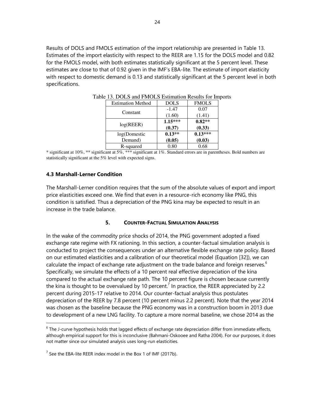Results of DOLS and FMOLS estimation of the import relationship are presented in Table 13. Estimates of the import elasticity with respect to the REER are 1.15 for the DOLS model and 0.82 for the FMOLS model, with both estimates statistically significant at the 5 percent level. These estimates are close to that of 0.92 given in the IMF's EBA-lite. The estimate of import elasticity with respect to domestic demand is 0.13 and statistically significant at the 5 percent level in both specifications.

| <b>Estimation Method</b> | <b>DOLS</b> | <b>FMOLS</b> |
|--------------------------|-------------|--------------|
| Constant                 | $-1.47$     | 0.07         |
|                          | (1.60)      | (1.41)       |
|                          | $1.15***$   | $0.82**$     |
| log(REER)                | (0.37)      | (0.33)       |
| log(Domestic             | $0.13**$    | $0.13***$    |
| Demand)                  | (0.05)      | (0.03)       |
| R-squared                | 0.80        | 0.68         |

Table 13. DOLS and FMOLS Estimation Results for Imports

\* significant at 10%, \*\* significant at 5%, \*\*\* significant at 1%. Standard errors are in parentheses. Bold numbers are statistically significant at the 5% level with expected signs.

# **4.3 Marshall-Lerner Condition**

 $\overline{a}$ 

The Marshall-Lerner condition requires that the sum of the absolute values of export and import price elasticities exceed one. We find that even in a resource-rich economy like PNG, this condition is satisfied. Thus a depreciation of the PNG kina may be expected to result in an increase in the trade balance.

#### **5. COUNTER-FACTUAL SIMULATION ANALYSIS**

In the wake of the commodity price shocks of 2014, the PNG government adopted a fixed exchange rate regime with FX rationing. In this section, a counter-factual simulation analysis is conducted to project the consequences under an alternative flexible exchange rate policy. Based on our estimated elasticities and a calibration of our theoretical model (Equation [32]), we can calculate the impact of exchange rate adjustment on the trade balance and foreign reserves. $^6$ Specifically, we simulate the effects of a 10 percent real effective depreciation of the kina compared to the actual exchange rate path. The 10 percent figure is chosen because currently the kina is thought to be overvalued by 10 percent.<sup>7</sup> In practice, the REER appreciated by 2.2 percent during 2015-17 relative to 2014. Our counter-factual analysis thus postulates depreciation of the REER by 7.8 percent (10 percent minus 2.2 percent). Note that the year 2014 was chosen as the baseline because the PNG economy was in a construction boom in 2013 due to development of a new LNG facility. To capture a more normal baseline, we chose 2014 as the

 $^6$  The J-curve hypothesis holds that lagged effects of exchange rate depreciation differ from immediate effects, although empirical support for this is inconclusive (Bahmani-Oskooee and Ratha 2004). For our purposes, it does not matter since our simulated analysis uses long-run elasticities.

 $7$  See the EBA-lite REER index model in the Box 1 of IMF (2017b).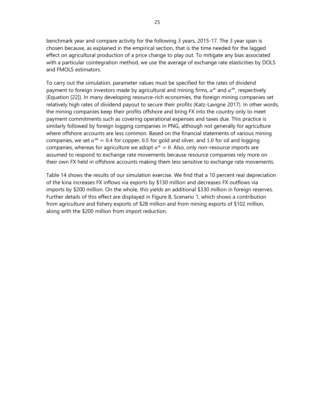benchmark year and compare activity for the following 3 years, 2015-17. The 3 year span is chosen because, as explained in the empirical section, that is the time needed for the lagged effect on agricultural production of a price change to play out. To mitigate any bias associated with a particular cointegration method, we use the average of exchange rate elasticities by DOLS and FMOLS estimators.

To carry out the simulation, parameter values must be specified for the rates of dividend payment to foreign investors made by agricultural and mining firms,  $\alpha^a$  and  $\alpha^m$ , respectively (Equation [22]). In many developing resource-rich economies, the foreign mining companies set relatively high rates of dividend payout to secure their profits (Katz-Lavigne 2017). In other words, the mining companies keep their profits offshore and bring FX into the country only to meet payment commitments such as covering operational expenses and taxes due. This practice is similarly followed by foreign logging companies in PNG, although not generally for agriculture where offshore accounts are less common. Based on the financial statements of various mining companies, we set  $\alpha^m = 0.4$  for copper, 0.5 for gold and silver, and 1.0 for oil and logging companies, whereas for agriculture we adopt  $\alpha^a = 0$ . Also, only non-resource imports are assumed to respond to exchange rate movements because resource companies rely more on their own FX held in offshore accounts making them less sensitive to exchange rate movements.

Table 14 shows the results of our simulation exercise. We find that a 10 percent real depreciation of the kina increases FX inflows via exports by \$130 million and decreases FX outflows via imports by \$200 million. On the whole, this yields an additional \$330 million in foreign reserves. Further details of this effect are displayed in Figure 8, Scenario 1, which shows a contribution from agriculture and fishery exports of \$28 million and from mining exports of \$102 million, along with the \$200 million from import reduction.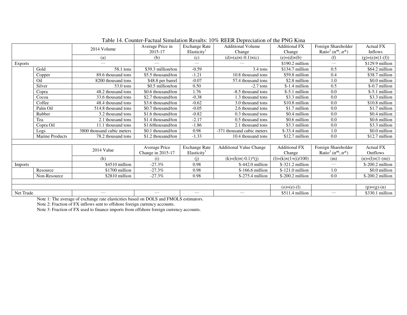|                |                 | 2014 Volume                     | Average Price in   | <b>Exchange Rate</b>    | <b>Additional Volume</b>       | <b>Additional FX</b>       | Foreign Shareholder                         | <b>Actual FX</b>            |
|----------------|-----------------|---------------------------------|--------------------|-------------------------|--------------------------------|----------------------------|---------------------------------------------|-----------------------------|
|                |                 |                                 | 2015-17            | Elasticity              | Change                         | Change                     | Ratio <sup>2</sup> ( $\alpha^m, \alpha^a$ ) | Inflows                     |
|                |                 | (a)                             | (b)                | (c)                     | $(d)=(a)\times(-0.1)\times(c)$ | $(e)=(d)\times(b)$         | (f)                                         | $(g)=(e)\times(1-(f))$      |
| <b>Exports</b> |                 |                                 |                    |                         |                                | \$190.2 million            |                                             | \$129.9 million             |
|                | Gold            | 58.1 tons                       | \$39.3 million/ton | $-0.59$                 | 3.4 tons                       | \$134.7 million            | 0.5                                         | \$64.2 million              |
|                | Copper          | 89.6 thousand tons              | \$5.5 thousand/ton | $-1.21$                 | 10.8 thousand tons             | \$59.8 million             | 0.4                                         | \$38.7 million              |
|                | Oil             | 8200 thousand tons              | \$48.8 per barrel  | $-0.07$                 | 57.4 thousand tons             | \$2.8 million              | 1.0                                         | \$0.0 million               |
|                | Silver          | 53.0 tons                       | \$0.5 million/ton  | 0.50                    | $-2.7$ tons                    | \$-1.4 million             | 0.5                                         | $\overline{\$$ -0.7 million |
|                | Copra           | 48.2 thousand tons              | \$0.6 thousand/ton | 1.76                    | -8.5 thousand tons             | \$-5.1 million             | 0.0                                         | \$-5.1 million              |
|                | Cocoa           | 33.6 thousand tons              | \$2.7 thousand/ton | $-0.38$                 | 1.3 thousand tons              | \$3.3 million              | 0.0                                         | \$3.3 million               |
|                | Coffee          | 48.4 thousand tons              | \$3.6 thousand/ton | $-0.62$                 | 3.0 thousand tons              | \$10.8 million             | 0.0                                         | \$10.8 million              |
|                | Palm Oil        | 514.8 thousand tons             | \$0.7 thousand/ton | $-0.05$                 | 2.6 thousand tons              | \$1.7 million              | 0.0                                         | \$1.7 million               |
|                | Rubber          | 3.2 thousand tons               | \$1.6 thousand/ton | $-0.82$                 | 0.3 thousand tons              | \$0.4 million              | 0.0                                         | \$0.4 million               |
|                | Tea             | 2.1 thousand tons               | \$1.4 thousand/ton | $-2.17$                 | 0.5 thousand tons              | \$0.6 million              | 0.0                                         | \$0.6 million               |
|                | Copra Oil       | 11.1 thousand tons              | \$1.6/thousand/ton | $-1.86$                 | 2.1 thousand tons              | \$3.3 million              | 0.0                                         | \$3.3 million               |
|                | Logs            | 3800 thousand cubic meters      | \$0.1 thousand/ton | 0.98                    | -371 thousand cubic meters     | \$-33.4 million            | 1.0                                         | \$0.0 million               |
|                | Marine Products | 78.2 thousand tons              | \$1.2 thousand/ton | $-1.33$                 | 10.4 thousand tons             | \$12.7 million             | 0.0                                         | \$12.7 million              |
|                |                 |                                 |                    |                         |                                |                            |                                             |                             |
|                |                 | 2014 Value                      | Average Price      | <b>Exchange Rate</b>    | <b>Additional Value Change</b> | <b>Additional FX</b>       | Foreign Shareholder                         | <b>Actual FX</b>            |
|                |                 |                                 | Change in 2015-17  | Elasticity <sup>1</sup> |                                | Change                     | Ratio <sup>3</sup> ( $\alpha^m, \alpha^a$ ) | Outflows                    |
|                |                 | (h)                             | (i)                | (i)                     | $(k)= (h) \times (-0.1)^*(i)$  | $(l)=(k)\times(1+(i)/100)$ | (m)                                         | $(n)=(l)\times(1-(m))$      |
| Imports        |                 | \$4510 million                  | $-27.3%$           | 0.98                    | \$-442.0 million               | \$-321.2 million           |                                             | \$-200.2 million            |
|                | Resource        | \$1700 million                  | $-27.3%$           | 0.98                    | \$-166.6 million               | \$-121.0 million           | 1.0                                         | \$0.0 million               |
|                | Non-Resource    | \$2810 million                  | $-27.3%$           | 0.98                    | \$-275.4 million               | \$-200.2 million           | 0.0                                         | \$-200.2 million            |
|                |                 |                                 |                    |                         |                                |                            |                                             |                             |
|                |                 |                                 |                    |                         |                                | $(o)=(e)-(1)$              |                                             | $(p)=(g)-(n)$               |
| Net Trade      |                 | $\hspace{0.1mm}-\hspace{0.1mm}$ | $\hspace{0.05cm}$  | $\hspace{0.05cm}$       | $\hspace{0.05cm}$              | \$511.4 million            | $\hspace{0.05cm}$                           | \$330.1 million             |

Table 14. Counter-Factual Simulation Results: 10% REER Depreciation of the PNG Kina

Note 1: The average of exchange rate elasticities based on DOLS and FMOLS estimators.

Note 2: Fraction of FX inflows sent to offshore foreign currency accounts.

Note 3: Fraction of FX used to finance imports from offshore foreign currency accounts.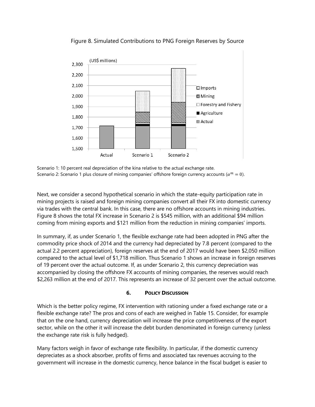

Figure 8. Simulated Contributions to PNG Foreign Reserves by Source

Scenario 1: 10 percent real depreciation of the kina relative to the actual exchange rate. Scenario 2: Scenario 1 plus closure of mining companies' offshore foreign currency accounts ( $\alpha^m=0$ ).

Next, we consider a second hypothetical scenario in which the state-equity participation rate in mining projects is raised and foreign mining companies convert all their FX into domestic currency via trades with the central bank. In this case, there are no offshore accounts in mining industries. Figure 8 shows the total FX increase in Scenario 2 is \$545 million, with an additional \$94 million coming from mining exports and \$121 million from the reduction in mining companies' imports.

In summary, if, as under Scenario 1, the flexible exchange rate had been adopted in PNG after the commodity price shock of 2014 and the currency had depreciated by 7.8 percent (compared to the actual 2.2 percent appreciation), foreign reserves at the end of 2017 would have been \$2,050 million compared to the actual level of \$1,718 million. Thus Scenario 1 shows an increase in foreign reserves of 19 percent over the actual outcome. If, as under Scenario 2, this currency depreciation was accompanied by closing the offshore FX accounts of mining companies, the reserves would reach \$2,263 million at the end of 2017. This represents an increase of 32 percent over the actual outcome.

# **6. POLICY DISCUSSION**

Which is the better policy regime, FX intervention with rationing under a fixed exchange rate or a flexible exchange rate? The pros and cons of each are weighed in Table 15. Consider, for example that on the one hand, currency depreciation will increase the price competitiveness of the export sector, while on the other it will increase the debt burden denominated in foreign currency (unless the exchange rate risk is fully hedged).

Many factors weigh in favor of exchange rate flexibility. In particular, if the domestic currency depreciates as a shock absorber, profits of firms and associated tax revenues accruing to the government will increase in the domestic currency, hence balance in the fiscal budget is easier to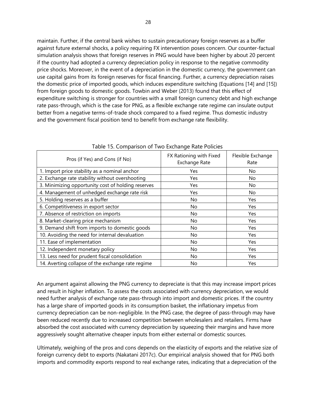maintain. Further, if the central bank wishes to sustain precautionary foreign reserves as a buffer against future external shocks, a policy requiring FX intervention poses concern. Our counter-factual simulation analysis shows that foreign reserves in PNG would have been higher by about 20 percent if the country had adopted a currency depreciation policy in response to the negative commodity price shocks. Moreover, in the event of a depreciation in the domestic currency, the government can use capital gains from its foreign reserves for fiscal financing. Further, a currency depreciation raises the domestic price of imported goods, which induces expenditure switching (Equations [14] and [15]) from foreign goods to domestic goods. Towbin and Weber (2013) found that this effect of expenditure switching is stronger for countries with a small foreign currency debt and high exchange rate pass-through, which is the case for PNG, as a flexible exchange rate regime can insulate output better from a negative terms-of-trade shock compared to a fixed regime. Thus domestic industry and the government fiscal position tend to benefit from exchange rate flexibility.

| Pros (if Yes) and Cons (if No)                     | FX Rationing with Fixed<br>Exchange Rate | Flexible Exchange<br>Rate |
|----------------------------------------------------|------------------------------------------|---------------------------|
| 1. Import price stability as a nominal anchor      | Yes                                      | No.                       |
| 2. Exchange rate stability without overshooting    | Yes                                      | No.                       |
| 3. Minimizing opportunity cost of holding reserves | Yes                                      | No.                       |
| 4. Management of unhedged exchange rate risk       | Yes                                      | No.                       |
| 5. Holding reserves as a buffer                    | No.                                      | Yes                       |
| 6. Competitiveness in export sector                | No.                                      | Yes                       |
| 7. Absence of restriction on imports               | No.                                      | Yes                       |
| 8. Market-clearing price mechanism                 | No                                       | Yes                       |
| 9. Demand shift from imports to domestic goods     | No.                                      | Yes                       |
| 10. Avoiding the need for internal devaluation     | No.                                      | Yes                       |
| 11. Ease of implementation                         | No.                                      | Yes                       |
| 12. Independent monetary policy                    | No.                                      | Yes                       |
| 13. Less need for prudent fiscal consolidation     | No.                                      | Yes                       |
| 14. Averting collapse of the exchange rate regime  | No                                       | Yes                       |

Table 15. Comparison of Two Exchange Rate Policies

An argument against allowing the PNG currency to depreciate is that this may increase import prices and result in higher inflation. To assess the costs associated with currency depreciation, we would need further analysis of exchange rate pass-through into import and domestic prices. If the country has a large share of imported goods in its consumption basket, the inflationary impetus from currency depreciation can be non-negligible. In the PNG case, the degree of pass-through may have been reduced recently due to increased competition between wholesalers and retailers. Firms have absorbed the cost associated with currency depreciation by squeezing their margins and have more aggressively sought alternative cheaper inputs from either external or domestic sources.

Ultimately, weighing of the pros and cons depends on the elasticity of exports and the relative size of foreign currency debt to exports (Nakatani 2017c). Our empirical analysis showed that for PNG both imports and commodity exports respond to real exchange rates, indicating that a depreciation of the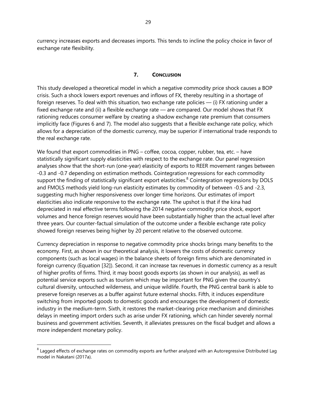currency increases exports and decreases imports. This tends to incline the policy choice in favor of exchange rate flexibility.

# **7. CONCLUSION**

This study developed a theoretical model in which a negative commodity price shock causes a BOP crisis. Such a shock lowers export revenues and inflows of FX, thereby resulting in a shortage of foreign reserves. To deal with this situation, two exchange rate policies — (i) FX rationing under a fixed exchange rate and (ii) a flexible exchange rate — are compared. Our model shows that FX rationing reduces consumer welfare by creating a shadow exchange rate premium that consumers implicitly face (Figures 6 and 7). The model also suggests that a flexible exchange rate policy, which allows for a depreciation of the domestic currency, may be superior if international trade responds to the real exchange rate.

We found that export commodities in PNG – coffee, cocoa, copper, rubber, tea, etc. – have statistically significant supply elasticities with respect to the exchange rate. Our panel regression analyses show that the short-run (one-year) elasticity of exports to REER movement ranges between -0.3 and -0.7 depending on estimation methods. Cointegration regressions for each commodity support the finding of statistically significant export elasticities. $^8$  Cointegration regressions by DOLS and FMOLS methods yield long-run elasticity estimates by commodity of between -0.5 and -2.3, suggesting much higher responsiveness over longer time horizons. Our estimates of import elasticities also indicate responsive to the exchange rate. The upshot is that if the kina had depreciated in real effective terms following the 2014 negative commodity price shock, export volumes and hence foreign reserves would have been substantially higher than the actual level after three years. Our counter-factual simulation of the outcome under a flexible exchange rate policy showed foreign reserves being higher by 20 percent relative to the observed outcome.

Currency depreciation in response to negative commodity price shocks brings many benefits to the economy. First, as shown in our theoretical analysis, it lowers the costs of domestic currency components (such as local wages) in the balance sheets of foreign firms which are denominated in foreign currency (Equation [32]). Second, it can increase tax revenues in domestic currency as a result of higher profits of firms. Third, it may boost goods exports (as shown in our analysis), as well as potential service exports such as tourism which may be important for PNG given the country's cultural diversity, untouched wilderness, and unique wildlife. Fourth, the PNG central bank is able to preserve foreign reserves as a buffer against future external shocks. Fifth, it induces expenditure switching from imported goods to domestic goods and encourages the development of domestic industry in the medium-term. Sixth, it restores the market-clearing price mechanism and diminishes delays in meeting import orders such as arise under FX rationing, which can hinder severely normal business and government activities. Seventh, it alleviates pressures on the fiscal budget and allows a more independent monetary policy.

 $\overline{a}$ 

 $^8$  Lagged effects of exchange rates on commodity exports are further analyzed with an Autoregressive Distributed Lag model in Nakatani (2017a).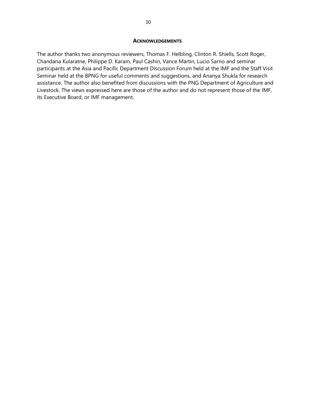#### **ACKNOWLEDGEMENTS**

The author thanks two anonymous reviewers, Thomas F. Helbling, Clinton R. Shiells, Scott Roger, Chandana Kularatne, Philippe D. Karam, Paul Cashin, Vance Martin, Lucio Sarno and seminar participants at the Asia and Pacific Department Discussion Forum held at the IMF and the Staff Visit Seminar held at the BPNG for useful comments and suggestions, and Ananya Shukla for research assistance. The author also benefited from discussions with the PNG Department of Agriculture and Livestock. The views expressed here are those of the author and do not represent those of the IMF, its Executive Board, or IMF management.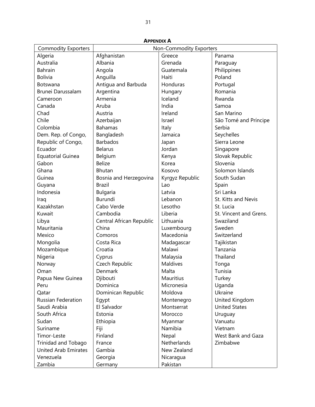**APPENDIX A** 

| <b>Commodity Exporters</b>  | Non-Commodity Exporters  |                 |                        |  |  |
|-----------------------------|--------------------------|-----------------|------------------------|--|--|
| Algeria                     | Afghanistan              | Greece          | Panama                 |  |  |
| Australia                   | Albania                  | Grenada         | Paraguay               |  |  |
| <b>Bahrain</b>              | Angola                   | Guatemala       | Philippines            |  |  |
| <b>Bolivia</b>              | Anguilla                 | Haiti           | Poland                 |  |  |
| <b>Botswana</b>             | Antigua and Barbuda      | Honduras        | Portugal               |  |  |
| Brunei Darussalam           | Argentina                | Hungary         | Romania                |  |  |
| Cameroon                    | Armenia                  | Iceland         | Rwanda                 |  |  |
| Canada                      | Aruba                    | India           | Samoa                  |  |  |
| Chad                        | Austria                  | Ireland         | San Marino             |  |  |
| Chile                       | Azerbaijan               | Israel          | São Tomé and Príncipe  |  |  |
| Colombia                    | <b>Bahamas</b>           | Italy           | Serbia                 |  |  |
| Dem. Rep. of Congo,         | Bangladesh               | Jamaica         | Seychelles             |  |  |
| Republic of Congo,          | <b>Barbados</b>          | Japan           | Sierra Leone           |  |  |
| Ecuador                     | <b>Belarus</b>           | Jordan          | Singapore              |  |  |
| <b>Equatorial Guinea</b>    | Belgium                  | Kenya           | Slovak Republic        |  |  |
| Gabon                       | <b>Belize</b>            | Korea           | Slovenia               |  |  |
| Ghana                       | <b>Bhutan</b>            | Kosovo          | Solomon Islands        |  |  |
| Guinea                      | Bosnia and Herzegovina   | Kyrgyz Republic | South Sudan            |  |  |
| Guyana                      | <b>Brazil</b>            | Lao             | Spain                  |  |  |
| Indonesia                   | <b>Bulgaria</b>          | Latvia          | Sri Lanka              |  |  |
| Iraq                        | Burundi                  | Lebanon         | St. Kitts and Nevis    |  |  |
| Kazakhstan                  | Cabo Verde               | Lesotho         | St. Lucia              |  |  |
| Kuwait                      | Cambodia                 | Liberia         | St. Vincent and Grens. |  |  |
| Libya                       | Central African Republic | Lithuania       | Swaziland              |  |  |
| Mauritania                  | China                    | Luxembourg      | Sweden                 |  |  |
| Mexico                      | Comoros                  | Macedonia       | Switzerland            |  |  |
| Mongolia                    | Costa Rica               | Madagascar      | Tajikistan             |  |  |
| Mozambique                  | Croatia                  | Malawi          | Tanzania               |  |  |
| Nigeria                     | Cyprus                   | Malaysia        | Thailand               |  |  |
| Norway                      | Czech Republic           | Maldives        | Tonga                  |  |  |
| Oman                        | Denmark                  | Malta           | Tunisia                |  |  |
| Papua New Guinea            | Djibouti                 | Mauritius       | Turkey                 |  |  |
| Peru                        | Dominica                 | Micronesia      | Uganda                 |  |  |
| Qatar                       | Dominican Republic       | Moldova         | Ukraine                |  |  |
| <b>Russian Federation</b>   | Egypt                    | Montenegro      | United Kingdom         |  |  |
| Saudi Arabia                | El Salvador              | Montserrat      | <b>United States</b>   |  |  |
| South Africa                | Estonia                  | Morocco         | Uruguay                |  |  |
| Sudan                       | Ethiopia                 | Myanmar         | Vanuatu                |  |  |
| Suriname                    | Fiji                     | Namibia         | Vietnam                |  |  |
| Timor-Leste                 | Finland                  | Nepal           | West Bank and Gaza     |  |  |
| <b>Trinidad and Tobago</b>  | France                   | Netherlands     | Zimbabwe               |  |  |
| <b>United Arab Emirates</b> | Gambia                   | New Zealand     |                        |  |  |
| Venezuela                   | Georgia                  | Nicaragua       |                        |  |  |
| Zambia                      | Germany                  | Pakistan        |                        |  |  |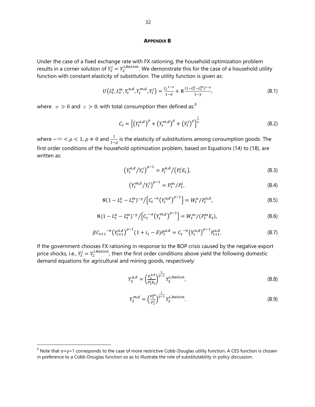#### **APPENDIX B**

Under the case of a fixed exchange rate with FX rationing, the household optimization problem results in a corner solution of  $Y_2^i = Y_2^{i, Ration}$ . We demonstrate this for the case of a household utility function with constant elasticity of substitution. The utility function is given as:

$$
U(L_t^a, L_t^m, Y_t^{a,d}, Y_t^{m,d}, Y_t^i) = \frac{c_t^{1-\sigma}}{1-\sigma} + \aleph \frac{(1 - L_t^a - L_t^m)^{1-\gamma}}{1-\gamma},
$$
\n(B.1)

where  $\sigma > 0$  and  $\gamma > 0$ , with total consumption then defined as:<sup>9</sup>

$$
C_t = \left\{ \left( Y_t^{a,d} \right)^{\rho} + \left( Y_t^{m,d} \right)^{\rho} + \left( Y_t^i \right)^{\rho} \right\}^{\frac{1}{\rho}}
$$
\n(B.2)

where  $-\infty < \rho < 1$ ,  $\rho \neq 0$  and  $\frac{1}{1-\rho}$  is the elasticity of substitutions among consumption goods. The first order conditions of the household optimization problem, based on Equations (14) to (18), are written as:

$$
(Y_t^{a,d}/Y_t^i)^{\rho-1} = P_t^{a,d}/(P_t^i E_t),
$$
\n(B.3)

$$
(Y_t^{m,d}/Y_t^i)^{\rho-1} = P_t^m/P_t^i,
$$
\n(B.4)

$$
\aleph(1 - L_t^a - L_t^m)^{-\gamma} / \Big\{ C_t^{-\sigma} \big(Y_t^{a,d}\big)^{\rho - 1}\Big\} = W_t^a / P_t^{a,d},\tag{B.5}
$$

$$
\aleph(1 - L_t^a - L_t^m)^{-\gamma}/\left\{C_t^{-\sigma}(Y_t^{m,d})^{\rho-1}\right\} = W_t^m/(P_t^m E_t),\tag{B.6}
$$

$$
\beta C_{t+1}^{-\sigma} \left(Y_{t+1}^{a,d}\right)^{\rho-1} (1+i_t-\delta) P_t^{a,d} = C_t^{-\sigma} \left(Y_t^{a,d}\right)^{\rho-1} P_{t+1}^{a,d}.
$$
 (B.7)

If the government chooses FX rationing in response to the BOP crisis caused by the negative export price shocks, i.e.,  $Y_2^i = Y_2^{i, Ration}$ , then the first order conditions above yield the following domestic demand equations for agricultural and mining goods, respectively:

$$
Y_2^{a,d} = \left(\frac{P_2^{a,d}}{P_2^i E_2}\right)^{\frac{1}{\rho-1}} Y_2^{i, Ration},\tag{B.8}
$$

$$
Y_2^{m,d} = \left(\frac{P_2^m}{P_2^i}\right)^{\frac{1}{\rho - 1}} Y_2^{i, Ration}.
$$
\n(B.9)

 $\overline{a}$ 

<sup>&</sup>lt;sup>9</sup> Note that  $\sigma$ =γ=1 corresponds to the case of more restrictive Cobb-Douglas utility function. A CES function is chosen in preference to a Cobb-Douglas function so as to illustrate the role of substitutability in policy discussion.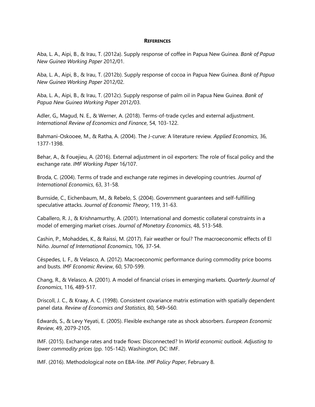#### **REFERENCES**

Aba, L. A., Aipi, B., & Irau, T. (2012a). Supply response of coffee in Papua New Guinea. *Bank of Papua New Guinea Working Paper* 2012/01.

Aba, L. A., Aipi, B., & Irau, T. (2012b). Supply response of cocoa in Papua New Guinea. *Bank of Papua New Guinea Working Paper* 2012/02.

Aba, L. A., Aipi, B., & Irau, T. (2012c). Supply response of palm oil in Papua New Guinea. *Bank of Papua New Guinea Working Paper* 2012/03.

Adler, G<sub>r</sub>, Magud, N. E., & Werner, A. (2018). Terms-of-trade cycles and external adjustment. *International Review of Economics and Finance*, 54, 103-122.

Bahmani-Oskooee, M., & Ratha, A. (2004). The J-curve: A literature review. *Applied Economics*, 36, 1377-1398.

Behar, A., & Fouejieu, A. (2016). External adjustment in oil exporters: The role of fiscal policy and the exchange rate. *IMF Working Paper* 16/107.

Broda, C. (2004). Terms of trade and exchange rate regimes in developing countries. *Journal of International Economics*, 63, 31-58.

Burnside, C., Eichenbaum, M., & Rebelo, S. (2004). Government guarantees and self-fulfilling speculative attacks. *Journal of Economic Theory*, 119, 31-63.

Caballero, R. J., & Krishnamurthy, A. (2001). International and domestic collateral constraints in a model of emerging market crises. *Journal of Monetary Economics*, 48, 513-548.

Cashin, P., Mohaddes, K., & Raissi, M. (2017). Fair weather or foul? The macroeconomic effects of El Niño. *Journal of International Economics*, 106, 37-54.

Céspedes, L. F., & Velasco, A. (2012). Macroeconomic performance during commodity price booms and busts. *IMF Economic Review*, 60, 570-599.

Chang, R., & Velasco, A. (2001). A model of financial crises in emerging markets. *Quarterly Journal of Economics*, 116, 489-517.

Driscoll, J. C., & Kraay, A. C. (1998). Consistent covariance matrix estimation with spatially dependent panel data. *Review of Economics and Statistics*, 80, 549–560.

Edwards, S., & Levy Yeyati, E. (2005). Flexible exchange rate as shock absorbers. *European Economic Review*, 49, 2079-2105.

IMF. (2015). Exchange rates and trade flows: Disconnected? In *World economic outlook. Adjusting to lower commodity prices* (pp. 105-142). Washington, DC: IMF.

IMF. (2016). Methodological note on EBA-lite. *IMF Policy Paper,* February 8.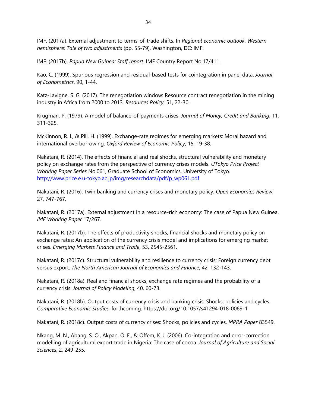IMF. (2017a). External adjustment to terms-of-trade shifts. In *Regional economic outlook. Western hemisphere: Tale of two adjustments* (pp. 55-79). Washington, DC: IMF.

IMF. (2017b). *Papua New Guinea: Staff report.* IMF Country Report No.17/411.

Kao, C. (1999). Spurious regression and residual-based tests for cointegration in panel data. *Journal of Econometrics*, 90, 1-44.

Katz-Lavigne, S. G. (2017). The renegotiation window: Resource contract renegotiation in the mining industry in Africa from 2000 to 2013. *Resources Policy*, 51, 22-30.

Krugman, P. (1979). A model of balance-of-payments crises. *Journal of Money, Credit and Banking*, 11, 311-325.

McKinnon, R. I., & Pill, H. (1999). Exchange-rate regimes for emerging markets: Moral hazard and international overborrowing. *Oxford Review of Economic Policy*, 15, 19-38.

Nakatani, R. (2014). The effects of financial and real shocks, structural vulnerability and monetary policy on exchange rates from the perspective of currency crises models. *UTokyo Price Project Working Paper Series* No.061, Graduate School of Economics, University of Tokyo. [http://www.price.e.u-tokyo.ac.jp/img/researchdata/pdf/p\\_wp061.pdf](http://www.price.e.u-tokyo.ac.jp/img/researchdata/pdf/p_wp061.pdf)

Nakatani, R. (2016). Twin banking and currency crises and monetary policy. *Open Economies Review*, 27, 747-767.

Nakatani, R. (2017a). External adjustment in a resource-rich economy: The case of Papua New Guinea. *IMF Working Paper* 17/267.

Nakatani, R. (2017b). The effects of productivity shocks, financial shocks and monetary policy on exchange rates: An application of the currency crisis model and implications for emerging market crises. *Emerging Markets Finance and Trade*, 53, 2545-2561.

Nakatani, R. (2017c). Structural vulnerability and resilience to currency crisis: Foreign currency debt versus export. *The North American Journal of Economics and Finance*, 42, 132-143.

Nakatani, R. (2018a). Real and financial shocks, exchange rate regimes and the probability of a currency crisis. *Journal of Policy Modeling*, 40, 60-73.

Nakatani, R. (2018b). Output costs of currency crisis and banking crisis: Shocks, policies and cycles. *Comparative Economic Studies,* forthcoming. https://doi.org/10.1057/s41294-018-0069-1

Nakatani, R. (2018c). Output costs of currency crises: Shocks, policies and cycles. *MPRA Paper* 83549.

Nkang, M. N., Abang, S. O., Akpan, O. E., & Offem, K. J. (2006). Co-integration and error-correction modelling of agricultural export trade in Nigeria: The case of cocoa. *Journal of Agriculture and Social Sciences*, 2, 249-255.